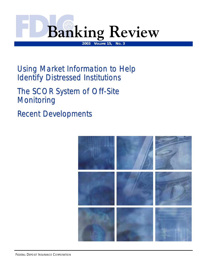

Using Market Information to Help **Identify Distressed Institutions** 

*The SCOR System of Off The SCOR System of Off-Site Monitoring Monitoring*

*Recent Developments ecent Developments*

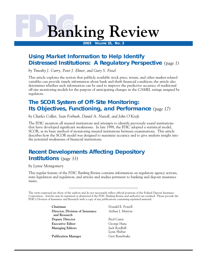# **Banking Review**

**2003 VOLUME 15, NO. 3** 

# **Using Market Information to Help Identify Distressed Institutions: A Regulatory Perspective** *(page 1)*

*by Timothy J. Curry, Peter J. Elmer, and Gary S. Fissel* 

 regulators. This article explores the notion that publicly available stock price, return, and other market-related variables can provide timely information about bank and thrift financial condition; the article also determines whether such information can be used to improve the predictive accuracy of traditional off-site monitoring models for the purpose of anticipating changes in the CAMEL ratings assigned by

# **The SCOR System of Off-Site Monitoring: Its Objectives, Functioning, and Performance** *(page 17)*

*by Charles Collier, Sean Forbush, Daniel A. Nuxoll, and John O'Keefe* 

The FDIC monitors all insured institutions and attempts to identify previously sound institutions that have developed significant weaknesses. In late 1998, the FDIC adopted a statistical model, SCOR, as its basic method of monitoring insured institutions between examinations. This article describes how the SCOR model was designed to maximize accuracy and to give analysts insight into the potential weaknesses of financial institutions.

# **Recent Developments Affecting Depository Institutions** *(page 33)*

*by Lynne Montgomery* 

This regular feature of the *FDIC Banking Review* contains information on regulatory agency actions, state legislation and regulation, and articles and studies pertinent to banking and deposit insurance issues.

The views expressed are those of the authors and do not necessarily reflect official positions of the Federal Deposit Insurance Corporation. Articles may be reprinted or abstracted if the *FDIC Banking Review* and author(s) are credited. Please provide the FDIC's Division of Insurance and Research with a copy of any publications containing reprinted material.

> **Chairman Donald E. Powell Director, Division of Insurance** Arthur J. Murton **and Research Deputy Director Fred Carns Executive Editor** George Hanc **Managing Editors** Jack Reidhill

Publication Manager **Geri Bonebrake** 

Lynn Shibut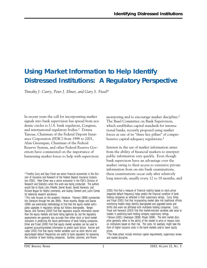# **Using Market Information to Help Identify Distressed Institutions: A Regulatory Perspective**

*Timothy J. Curry, Peter J. Elmer, and Gary S. Fissel\** 

In recent years the call for incorporating market signals into bank supervision has spread from academic circles to U.S. bank regulators, Congress, and international regulatory bodies.1 Donna Tanoue, Chairman of the Federal Deposit Insurance Corporation (FDIC) from 1998 to 2001, Alan Greenspan, Chairman of the Federal Reserve System, and other Federal Reserve Governors have commented on the importance of harnessing market forces to help with supervisory

monitoring and to encourage market discipline.2 The Basel Committee on Bank Supervision, which establishes capital standards for international banks, recently proposed using market forces as one of its "three key pillars" of comprehensive capital-adequacy regulations.<sup>3</sup>

Interest in the use of market information arises from the ability of financial markets to interpret public information very quickly. Even though bank supervisors have an advantage over the market owing to their access to extensive private information from on-site bank examinations, these examinations occur only after relatively long intervals, usually every 12 to 18 months, and

<sup>\*</sup> Timothy Curry and Gary Fissel are senior financial economists in the Division of Insurance and Research of the Federal Deposit Insurance Corporation (FDIC). Peter Elmer was a senior economist in the FDIC's Division of Research and Statistics when this work was being conducted. The authors would like to thank John O'Keefe, Daniel Nuxoll, Gerald Hanweck, and Richard Bogue for helpful comments, and Audrey Clement and Justin Combs for extensive research assistance.

<sup>1</sup> This note focuses on the academic literature. Flannery (1998) summarizes this literature through the late 1990s. More recently, Berger and Davies (1998) use event-study methodology to find that the equity market anticipates upgrades in regulatory ratings but follows downgrades. Berger, Davies, and Flannery (2000) find that regulators acquire information sooner than the equity markets and bond rating agencies do, but the regulatory assessments are generally less accurate than either stock or bond market indicators in predicting the future performance of bank holding companies. Elmer and Fissel (2000) find that equity market variables can be used to augment accounting-related information to predict bank failure. Krainer and Lopez (2001) find that equity market variables such as stock returns and equity-based default frequencies are useful to bank regulators for assessing the condition of bank holding companies. Gunther, Levonian, and Moore

<sup>(2001)</sup> find that a measure of financial viability based on stock prices (expected default frequency) helps predict the financial condition of bank holding companies as reflected in their supervisory ratings. Curry, Elmer, and Fissel (2001) find that incorporating market data into traditional off-site monitoring models helps identify downgraded and upgraded banks and thrifts that were not affiliated with multibank holding companies. Curry, Fissel and Hanweck (2003) find that market-indicator variables add value to models in predicting bank holding company supervisory ratings. 2 Tanoue (2001); Greenspan (1998); Meyer (1998). The term *market discipline* generally refers to the ability of the market to price or impose costs on institutions based on their risk. The costs, for example, might take the form of higher issuance costs in the bond markets and/or lower equity prices.

<sup>&</sup>lt;sup>3</sup> The three pillars include minimum capital requirements, supervisory review and market discipline.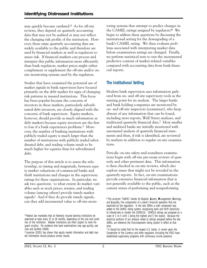may quickly become outdated.4 As for off-site reviews, they depend on quarterly accounting data that may not be audited or may not reflect the changing risk profile of the institution. However, these same quarterly accounting data are widely available to the public and therefore are used by financial markets as well as regulators to assess risk. If financial markets can process and interpret this public information more efficiently than bank regulators, market prices might either complement or supplement the off-site and/or onsite monitoring systems used by the regulators.

Studies that have examined the potential use of market signals in bank supervision have focused primarily on the debt market for signs of changing risk patterns in insured institutions. This focus has been popular because the concerns of investors in these markets, particularly subordinated-debt investors, are closely aligned with the concerns of bank supervisors. Equity markets, however, should provide as much information as debt markets because equity investors are the first to lose if a bank experiences problems.5 Moreover, the number of banking institutions with publicly traded equity is much larger than the number of institutions with publicly traded subordinated debt, and trading volume tends to be much higher for equities than for subordinated debt.

The purpose of this article is to assess the relationship, in timing and magnitude, between equity market valuations of commercial banks and thrift institutions and changes in the supervisory ratings for these organizations. In particular, we ask two questions: to what extent do market variables such as stock prices, returns, and trading volume (among others) provide timely market signals? And if they do provide timely signals, can they add incremental value to off-site monitoring systems that attempt to predict changes in the CAMEL ratings assigned by regulators?6 We begin to address these questions by discussing the institutional setting for the downgrading of a bank's CAMEL rating. We then evaluate problems associated with interpreting market data before examination ratings are changed. Finally, we perform statistical tests to test the incremental predictive content of market-related variables compared with accounting data from bank financial reports.

# **The Institutional Setting**

Modern bank supervision uses information gathered from on- and off-site supervisory tools as the starting point for its analysis. The larger banks and bank holding companies are monitored by on- and off-site inspectors (examiners), who keep abreast of any information that can be found, including news reports, Wall Street analyses, and traditional quarterly financial data.7 Most smaller and midsized banks are initially monitored with automated analysis of quarterly financial statements and then, if risk is identified, are reviewed by analysts in addition to regular on-site examinations.

Periodic on-site safety-and-soundness examinations begin with off-site pre-exam reviews of quarterly and other pertinent data. This information is then checked in on-site reviews, which also explore issues that might not be revealed in the quarterly reports. In fact, on-site examinations provide extensive financial information that is not generally available to the public, such as the current status of performing and nonperforming

 quent scrutiny. For evidence that bank examinations may age quickly, see 4 Federal law mandates that all federally insured banking institutions be examined at least every 12 to 18 months, depending on the size and condition of the institution. Weaker institutions are often subject to more fre-Cole and Gunther (1998).

<sup>5</sup> Levonian (2001) has shown that equity market information and debt market information should produce similar results.

<sup>6</sup> The acronym "CAMEL" stands for **C**apital, **A**ssets, **M**anagement, **E**arnings, and **L**iquidity, five components of a bank's financial operation that are examined by the regulators. In the late 1990s a sixth component was added to the CAMEL rating system, recognizing bank and thrift Sensitivity to interest-rate or market risk (CAMELS). CAMELS ratings are assigned on a scale of 1 to 5 with 1 being the highest and 5 the lowest. Because the empirical portions of our analysis relate to ratings assigned before the late 1990s, we reference the five-component rating system in effect at that time.

<sup>&</sup>lt;sup>7</sup> It should be noted that for the largest U.S. banks, in recent years the Comptroller of the Currency and other regulators (including the FDIC) have established supervisory programs with continuous on-site presence.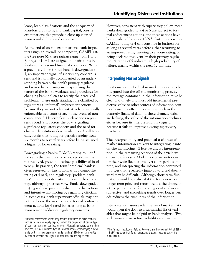loans, loan classifications and the adequacy of loan-loss provisions, and bank capital; on-site examinations also provide a close-up view of managerial abilities and expertise.

At the end of on-site examinations, bank inspectors assign an overall, or composite, CAMEL rating (see note 6); these ratings range from 1 to 5. Ratings of 1 or 2 are assigned to institutions in fundamentally sound financial condition. When a previously 1- or 2-rated bank is downgraded to 3, an important signal of supervisory concern is sent and is normally accompanied by an understanding between the bank's primary regulator and senior bank management specifying the nature of the bank's weakness and procedures for changing bank policies to rectify the perceived problems. These understandings are classified by regulators as "informal" enforcement actions because they are not administratively or judicially enforceable in a court of law in the event of noncompliance.8 Nevertheless, such actions represent a loud "shot across the bow" signaling significant regulatory concern and the need for change. Institutions downgraded to a 3 will typically retain that rating for periods ranging from six months to several years before being assigned a higher or lower rating.

Downgrading a bank's CAMEL rating to 4 or 5 indicates the existence of serious problems that, if not resolved, present a distinct possibility of insolvency. In practice, the term "problem" bank is often reserved for institutions with a composite rating of 4 or 5, and regulatory "problem-bank lists" tend to specify institutions with these ratings, although practices vary. Banks downgraded to 4 typically require immediate remedial actions and intensive monitoring by regulatory officials. In some cases, bank supervisory officials may opt not to choose the more serious "formal" enforcement actions for 4-rated banks as long as bank management addresses regulatory concerns.

 tor. A rating of 5 indicates a high probability of However, consistent with supervisory policy, most banks downgraded to a 4 or 5 are subject to formal enforcement actions, and these actions have been made public since 1989.9 Institutions with a CAMEL rating of 4 can continue in business for as long as several years before either returning to an improved rating, moving to a worse rating, or being declared insolvent by their primary regulafailure, usually within the next 12 months.

# **Interpreting Market Signals**

If information embedded in market prices is to be integrated into the off-site monitoring process, the message contained in the information must be clear and timely and must add incremental predictive value to other sources of information commonly used by off-site monitoring, such as the quarterly financial data. If these characteristics are lacking, the value of the information declines either because its interpretation is vague or because it fails to improve existing supervisory practices.

The interpretability and practical usefulness of market information are keys to integrating it into off-site monitoring. (Here we discuss interpretation; in the remaining sections of the article we discuss usefulness.) Market prices are notorious for their wide fluctuations over short periods of time, and interpreting the information contained in prices that repeatedly jump upward and downward may be difficult. Although short-term fluctuations would be reduced if the focus were on longer-term price and return trends, the choice of a time period to use for these types of analyses is subjective, and smoothing trends over longer periods reduces the timeliness of the information.

Interpretation issues aside, the use of market data would open the door to a substantial list of variables that might be helpful in bank analysis. Two such variables are return volatility and trading

<sup>8</sup> Informal enforcement actions may require institutions to make changes, such as raising new equity capital, limiting the origination of certain types of loans, or increasing loan-loss reserves. Although regulators vary in their practices, the most common type of informal action accompanying a downgrade to 3 is a "memorandum of understanding" (MOU), which is written by bank supervisors and signed by bank officials and supervisors.

<sup>9</sup> The Financial Institutions Reform, Recovery, and Enforcement Act of 1989 (FIRREA) mandated that formal enforcement actions become part of the public record.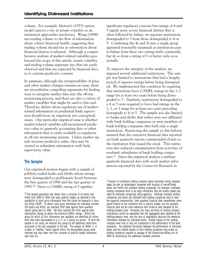volume. For example, Merton's (1973) option model expects a rise in return volatility as an institution approaches insolvency. Wang (1994) ties trading volume to the flow of information about a firm's financial health, suggesting that trading volume should rise as information about financial distress is released. Although a comprehensive analysis of market-related variables goes beyond the scope of this article, return volatility and trading volume represent two that are easily observed and that are expected by financial theory to contain predictive content.

In summary, although the interpretability of price and other market changes remains an issue, there are nevertheless compelling arguments for finding ways to integrate market data into the off-site monitoring process, and there are also a variety of market variables that might be used to this end. Therefore, debate about regulatory use of marketrelated information in prudential bank supervision should focus on empirical, not conceptual, issues. One particular empirical issue is whether market-related variables add incremental predictive value to quarterly accounting data or other information that is easily available to regulators in off-site monitoring systems. Unless market signals increase predictive value, they may be viewed as redundant information with little supervisory value.

# **The Sample**

Our empirical analysis begins with a sample of publicly traded banks and thrifts whose ratings were downgraded to problematic levels between the first quarter of 1988 and the last quarter of 1995.10 Since a CAMEL rating of 3 signifies

significant regulatory concern but ratings of 4 and 5 signify more severe financial distress that is often followed by failure, we separate institutions downgraded to 3 from those downgraded to 4 or 5. Combining the 4s and 5s into a single group appeared reasonable inasmuch as institutions pass to failure from these two ratings fairly commonly, but do so from a rating of 3 or better only occasionally.

To improve the integrity of the analysis, we imposed several additional restrictions. The sample was limited to institutions that had a lengthy period of superior ratings before being downgraded. We implemented this condition by requiring that institutions have CAMEL ratings in the 1–2 range for at least two years before being downgraded to 3. Similarly, institutions downgraded to a 4 or 5 were required to have had ratings in the 1, 2, or 3 range for at least two years preceding downgrade to 4 or 5. The sample was also limited to banks and thrifts that either were not affiliated with bank holding companies or were members of bank holding companies that held only a single institution. Restricting the sample in this fashion ensured that the extensive financial data reported on bank quarterly reports corresponded closely to the institution that issued the stock. This restriction also reduced contamination from activities of nonbank subsidiaries of bank holding companies.11 Since the empirical analysis combines quarterly financial data with stock market information reported by the Center for Research in

<sup>10</sup> The sample population was drawn from a universe of all banks and thrifts from 1988 to 1995 that were publicly traded, as reflected in the availability of stock price information from the Center for Research in Security Prices (CRSP). To obtain stock price information for individual commercial banks and thrifts, we matched CRSP data against bank quarterly reports going back to 1986. We then matched the firms against bank examination ratings to obtain the historical CAMEL ratings. Within the group for which all this information was available, we identified all institutions that were downgraded to a 3, 4, or 5 during our period. To form the sample in our study, we reduced this group by the additional restrictions discussed in the next paragraph of the text. The sample of CAMEL 1- or 2-rated, or "healthy," banks against which the downgraded groups were matched was also taken from this universe of publicly traded institutions (see note 14).

<sup>11</sup> Analysis of multibank holding company equity securities carries disadvantages (as well as advantages) compared with analysis of non-affiliated banks and thrifts and one-bank holding companies. For example, multibank holding companies tend to be large institutions that are widely traded and rated by nationally recognized rating agencies. Although one-bank holding companies and banks not affiliated with holding companies tend to have the opposite characteristics, their quarterly financial data nevertheless correspond directly to the institution that is publicly traded, and the quarterly financial data are far more extensive than financial data released at the holding-company level. Moreover, the many activities of holding company subsidiaries cannot be separated from the aggregated data reported at the holding-company level, and this lack of separability obscures the extensive information released by individual banks. Market signals at the holdingcompany level may or may not correspond to the performance of the bank subsidiary. The potential disconnect between the performance of individual banks and the market signals of their holding companies may widen as holding companies respond to passage of the Gramm-Leach-Bliley Act of 1999 by diversifying into additional nonbank activities.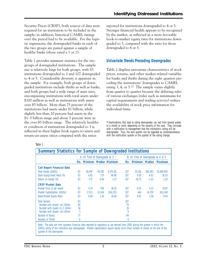Security Prices (CRSP), both sources of data were required for an institution to be included in the sample; in addition, historical CAMEL ratings over the period had to be available. For the logistic regressions, the downgraded banks in each of the two groups are paired against a sample of healthy banks (those rated a 1 or 2).

Table 1 provides summary statistics for the two groups of downgraded institutions. The sample size is relatively large for both groups, with 83 institutions downgraded to 3 and 107 downgraded to 4 or 5. Considerable diversity is apparent in the sample. For example, both groups of downgraded institutions include thrifts as well as banks, and both groups had a wide range of asset sizes, encompassing institutions with total assets under \$100 million as well as institutions with assets over \$5 billion. More than 75 percent of the institutions had assets under \$1 billion, while slightly less than 20 percent had assets in the \$1–5 billion range and about 5 percent were in the over-\$5 billion range. The relatively healthier condition of institutions downgraded to 3 is reflected in their higher book equity-to-assets and return-on-assets ratios compared with the ratios

reported for institutions downgraded to 4 or 5. Stronger financial health appears to be recognized by the market, as reflected in a more favorable book-to-market equity ratio for institutions downgraded to 3, compared with the ratio for those downgraded to 4 or 5.

# **Univariate Trends Preceding Downgrades**

Table 2 displays univariate characteristics of stock prices, returns, and other market-related variables for banks and thrifts during the eight quarters preceding the institutions' downgrades to CAMEL rating 3, 4, or  $5^{12}$  The sample varies slightly from quarter to quarter because the delisting rules of various exchanges (rules such as minimums for capital requirements and trading activity) reduce the availability of stock price information for individual firms.

<sup>12</sup> Examinations that lead to rating downgrades can last from several weeks to a month or more, depending on the severity of the case. They conclude with a notification to management that the institution's rating will be downgraded. Thus, the zero quarter can be regarded as contemporaneous with the notification quarter or the quarter of the rating change.

| ۰,<br>I<br>× |  |
|--------------|--|
|--------------|--|

| <b>Summary Statistics for Sample of Downgraded Institutions</b>                                                                                                                                                                                                                                     |    |                              |        |           |     |                                   |         |                |
|-----------------------------------------------------------------------------------------------------------------------------------------------------------------------------------------------------------------------------------------------------------------------------------------------------|----|------------------------------|--------|-----------|-----|-----------------------------------|---------|----------------|
|                                                                                                                                                                                                                                                                                                     |    | A. At Time of Downgrade to 3 |        |           |     | B. At Time of Downgrade to 4 or 5 |         |                |
|                                                                                                                                                                                                                                                                                                     |    | No. Minimum Median Maximum   |        |           | No. | <b>Minimum</b>                    | Median  | <b>Maximum</b> |
| <b>Call Report Financial Data</b>                                                                                                                                                                                                                                                                   |    |                              |        |           |     |                                   |         |                |
| Total Assets (\$000s)                                                                                                                                                                                                                                                                               | 83 | 36,647                       | 40,381 | 9,375,411 | 107 | 20,316                            | 381,583 | 15,469,836     |
| Book Equity/Asset Ratio (%)                                                                                                                                                                                                                                                                         | 83 | 4.82                         | 7.37   | 96.98     | 107 | 0.00                              | 6.02    | 16.50          |
| Return on Assets (%)                                                                                                                                                                                                                                                                                | 83 | $-7.71$                      | 0.40   | 2.27      | 107 | $-16.75$                          | $-1.03$ | 1.20           |
| <b>CRSP Market Data</b>                                                                                                                                                                                                                                                                             |    |                              |        |           |     |                                   |         |                |
| Market Price (\$ per share)                                                                                                                                                                                                                                                                         | 83 | 0.74                         | 7.96   | 36.25     | 107 | 0.53                              | 5.23    | 16.87          |
| Market Capitalization (\$000s)                                                                                                                                                                                                                                                                      | 83 | 2,523                        | 21,434 | 656,355   | 107 | 444                               | 14,700  | 453,148        |
| Book/Market Equity Ratio                                                                                                                                                                                                                                                                            | 83 | 0.09                         | 1.45   | 10.60     | 107 | 0.02                              | 1.58    | 9.04           |
| <b>Total Sample</b>                                                                                                                                                                                                                                                                                 | 83 |                              |        |           | 107 |                                   |         |                |
| Number with Assets <\$1 Billion                                                                                                                                                                                                                                                                     | 64 |                              |        |           | 79  |                                   |         |                |
| Number with Assets \$1-5 Billion                                                                                                                                                                                                                                                                    | 16 |                              |        |           | 19  |                                   |         |                |
| Number with Assets > \$5 Billion                                                                                                                                                                                                                                                                    | 3  |                              |        |           | 9   |                                   |         |                |
| Number of Banks                                                                                                                                                                                                                                                                                     | 77 |                              |        |           | 99  |                                   |         |                |
| Number of Thrifts                                                                                                                                                                                                                                                                                   | 6  |                              |        |           | 8   |                                   |         |                |
| Note: The data are from quarterly financial data reported to regulators or are derived from CRSP during the quarter in which the<br>CAMEL rating of the institution was downgraded. Market capitalization equals equity price times number of shares at the end of the<br>quarter of the downgrade. |    |                              |        |           |     |                                   |         |                |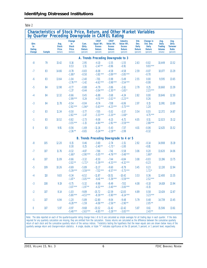|--|--|

|                                       |               |                                                   | by Quarter Preceding Downgrade in CAMEL Rating            |                                       |                                                                  |                                                                         | Characteristics of Stock Price, Return, and Other Market Variables          |                                                     |                                                                      |                                                                     |                                                                      |
|---------------------------------------|---------------|---------------------------------------------------|-----------------------------------------------------------|---------------------------------------|------------------------------------------------------------------|-------------------------------------------------------------------------|-----------------------------------------------------------------------------|-----------------------------------------------------|----------------------------------------------------------------------|---------------------------------------------------------------------|----------------------------------------------------------------------|
| <b>Qtrs</b><br>to<br>Rating<br>Change | <b>Sample</b> | Avg.<br><b>Stock</b><br><b>Price</b><br>(dollars) | Change<br>in<br><b>Stock</b><br><b>Price</b><br>(dollars) | Cum.<br>Otrly.<br>Return<br>(percent) | <b>CRSP</b><br>Equal Wt.<br><b>Excess</b><br>Return<br>(percent) | <b>CRSP</b><br>Value Wt.<br><b>Excess</b><br><b>Return</b><br>(percent) | <b>Industry</b><br>Value Wt.<br><b>Excess</b><br><b>Return</b><br>(percent) | Std.<br>Dev.<br><b>Daily</b><br>Return<br>(percent) | Change in<br>Std. Dev.<br><b>Daily</b><br><b>Return</b><br>(percent) | Avg.<br><b>Daily</b><br><b>Trading</b><br><b>Volume</b><br>(shares) | Avg.<br><b>Qtrly</b><br><b>Turnover</b><br><b>Ratio</b><br>(percent) |
|                                       |               |                                                   |                                                           |                                       | A. Trends Preceding Downgrade to 3                               |                                                                         |                                                                             |                                                     |                                                                      |                                                                     |                                                                      |
| $-8$                                  | 79            | 15.42                                             | 0.16<br>0.53                                              | 2.95<br>1.51                          | $-4.10$<br>$-2.47**$                                             | $-1.55$<br>$-0.96$                                                      | $-1.55$<br>$-0.91$                                                          | 2.63                                                | $-0.02$<br>$9.93***$                                                 | 10,449                                                              | 13.52                                                                |
| $-7$                                  | 83            | 14.66                                             | $-0.78$<br>$-1.88*$                                       | $-0.83$<br>$-0.50$                    | $-6.08$<br>$-3.81***$                                            | $-4.58$<br>$-2.89***$                                                   | $-4.58$<br>$-2.85***$                                                       | 2.59                                                | $-0.07$<br>$-0.70$                                                   | 10,077                                                              | 13.29                                                                |
| -6                                    | 83            | 13.64                                             | $-1.04$<br>$-2.76***$                                     | $-2.40$<br>$-1.42$                    | $-7.01$<br>$-4.62***$                                            | $-5.98$<br>$-3.98***$                                                   | $-5.49$<br>$-3.54***$                                                       | 2.55                                                | 0.00<br>$-0.08$                                                      | 9,595                                                               | 13.65                                                                |
| $-5$                                  | 84            | 12.98                                             | $-0.77$<br>$-1.37$                                        | $-0.88$<br>$-0.44$                    | $-4.79$<br>$-3.04***$                                            | $-3.86$<br>$-2.30**$                                                    | $-2.61$<br>$-1.65*$                                                         | 2.79                                                | 0.25<br>$2.23***$                                                    | 10,660                                                              | 13.39                                                                |
| -4                                    | 84            | 12.32                                             | $-0.66$<br>$-2.99***$                                     | 0.45<br>0.24                          | $-6.88$<br>$-4.51***$                                            | $-3.68$<br>$-2.02**$                                                    | $-4.24$<br>$-2.23***$                                                       | 2.82                                                | 0.00<br>0.26                                                         | 10,646                                                              | 12.50                                                                |
| $-3$                                  | 84            | 11.78                                             | $-0.54$<br>$-2.92***$                                     | $-0.04$<br>$-1.94*$                   | $-8.74$<br>$-5.63***$                                            | $-7.08$<br>$-4.23***$                                                   | $-6.06$<br>$-3.73***$                                                       | 2.97                                                | 0.15<br>1.20                                                         | 11,991                                                              | 13.89                                                                |
| $-2$                                  | 83            | 11.34                                             | $-0.50$<br>$-2.82***$                                     | $-3.77$<br>$-1.47$                    | $-7.05$<br>$-3.33***$                                            | $-5.02$<br>$-2.20**$                                                    | $-3.57$<br>$-1.68*$                                                         | 3.54                                                | 0.55<br>$4.75***$                                                    | 12.372                                                              | 14.87                                                                |
| $-1$                                  | 83            | 10.52                                             | $-0.82$<br>$-3.55***$                                     | $-2.73$<br>$-1.15$                    | $-9.08$<br>$-4.84***$                                            | $-6.15$<br>$-2.91***$                                                   | $-6.71$<br>$-3.59***$                                                       | 4.05                                                | 0.51<br>$2.88***$                                                    | 12,023                                                              | 15.12                                                                |
| $\overline{0}$                        | 83            | 9.91                                              | $-0.56$<br>$-2.36***$                                     | $-1.69$<br>$-0.65$                    | $-11.16$<br>$-5.24***$                                           | $-5.43$<br>$-2.19***$                                                   | $-7.37$<br>$-2.99$                                                          | 4.01                                                | $-0.06$<br>$-0.32$                                                   | 12,625                                                              | 15.52                                                                |
|                                       |               |                                                   |                                                           |                                       |                                                                  |                                                                         | B. Trends Preceding Downgrade to 4 or 5                                     |                                                     |                                                                      |                                                                     |                                                                      |
| $-8$                                  | 105           | 12.20                                             | 0.15<br>0.30                                              | 0.46<br>0.25                          | $-3.60$<br>$-2.40**$                                             | $-2.74$<br>$-1.71*$                                                     | $-1.51$<br>$-1.00$                                                          | 2.92                                                | $-0.14$<br>$-0.81$                                                   | 14,908                                                              | 15.19                                                                |
| $-7$                                  | 107           | 11.76                                             | $-0.32$<br>$-1.68*$                                       | $-4.87$<br>$-2.90***$                 | $-7.66$<br>$-5.05***$                                            | $-7.41$<br>$-4.76***$                                                   | $-5.58$<br>$-3.48***$                                                       | 3.06                                                | 0.20<br>$1.68*$                                                      | 13,620                                                              | 14.06                                                                |
| -6                                    | 107           | 11.09                                             | $-0.66$<br>$-2.02**$                                      | $-3.32$<br>$-1.72*$                   | $-8.50$<br>$-5.39***$                                            | $-7.44$<br>$-4.33***$                                                   | $-6.84$<br>$-4.32***$                                                       | 3.08                                                | $-0.03$<br>$-0.23$                                                   | 13,196                                                              | 13.75                                                                |
| $-5$                                  | 109           | 10.26                                             | $-0.69$<br>$-5.39***$                                     | $-5.89$<br>$-3.59***$                 | $-11.17$<br>$-7.32***$                                           | $-9.60$<br>$-6.57***$                                                   | $-8.79$<br>$-5.73***$                                                       | 3.45                                                | 0.23<br>$1.72*$                                                      | 12,130                                                              | 12.94                                                                |
| $-4$                                  | 110           | 9.83                                              | $-0.34$<br>$-1.87*$                                       | $-6.52$<br>$-3.05***$                 | $-11.87$<br>$-6.41***$                                           | $-10.51$<br>$-5.39***$                                                  | $-10.42$<br>$-5.59***$                                                      | 3.53                                                | 0.36<br>$2.52***$                                                    | 12,400                                                              | 13.35                                                                |
| $-3$                                  | 108           | 9.19                                              | $-0.75$<br>$-3.07***$                                     | $-5.32$<br>$-1.97**$                  | $-9.98$<br>$-4.32***$                                            | $-8.49$<br>$-3.40***$                                                   | $-7.02$<br>$-3.00***$                                                       | 4.08                                                | $-0.10$<br>$-0.15$                                                   | 14,619                                                              | 13.94                                                                |
| $-2$                                  | 107           | 8.14                                              | $-1.03$<br>$-5.80***$                                     | $-9.89$<br>$-4.53***$                 | $-15.72$<br>$-8.39***$                                           | $-12.59$<br>$-5.90***$                                                  | $-12.83$<br>$-6.14***$                                                      | 4.89                                                | 0.58<br>$3.23***$                                                    | 13,424                                                              | 12.67                                                                |
| $-1$                                  | 107           | 6.94                                              | $-1.20$<br>$-6.28***$                                     | $-5.89$<br>$-1.59$                    | $-12.80$<br>$-4.06***$                                           | $-9.04$<br>$-2.56**$                                                    | $-9.48$<br>$-2.90**$                                                        | 5.79                                                | 0.48<br>$2.05***$                                                    | 14,739                                                              | 13.45                                                                |
| 0                                     | 107           | 5.97                                              | $-0.97$<br>$-5.48***$                                     | $-9.68$<br>$-2.63***$                 | $-15.52$<br>$-4.85***$                                           | $-11.42$<br>$-3.28***$                                                  | $-12.42$<br>$-3.83***$                                                      | 5.87                                                | 0.61<br>$2.43***$                                                    | 15,506                                                              | 13.61                                                                |

*Note:* The data reported on each of the quarter-to-quarter rating change lines (–8 to 0) are calculated as simple averages for all trading days in each quarter. If the data required for any quarterly calculation are missing, they are omitted from the calculation. Excess returns are calculated as the difference between the cumulative quarterly return of each stock and the cumulative quarterly return of the various indices. T-statistics testing the hypothesis that the mean equals zero are shown below many of the quarterly average return and change-in-return statistics. A single, double, or triple "\*" indicates significance at the 10 percent, 5 percent, or 1 percent level, respectively.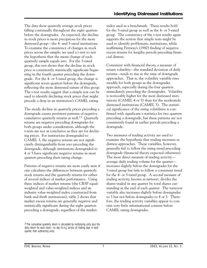The data show quarterly average stock prices falling continually throughout the eight quarters before the downgrades. As expected, the decline in stock prices is more precipitous for the more distressed group—the 4- and 5-rated institutions. To examine the consistency of changes in stock prices across the sample, we used a t-test to test the hypothesis that the mean change of each quarterly sample equals zero. For the 3-rated group, this test shows that the decline in stock price is consistently statistically significant beginning in the fourth quarter preceding the downgrade. For the 4- or 5-rated group, the change is significant seven quarters before the downgrade, reflecting the more distressed nature of this group. The t-test results suggest that a simple test can be used to identify declining stock prices that might precede a drop in an institution's CAMEL rating.

The steady decline in quarterly prices preceding a downgrade causes persistent patterns of negative cumulative quarterly returns as well.13 Quarterly returns are negative preceding downgrades for both groups under consideration, although the t-tests are not as conclusive as they are for declining prices. For institutions downgraded to CAMEL 3, the negative returns are not significantly distinguishable from zero preceding the downgrade, although institutions downgraded to 4 or 5 have significant negative returns in most quarters preceding their rating change.

Patterns of negative returns are more easily seen if one calculates the differences between quarterly stock returns and the quarterly returns for either of several indices of market performance. Using three indices of market returns (the CRSP equalweighted and value-weighted indices and an industry value-weighted index constructed from bank and thrift institutions), table 2 shows that market excess returns are generally negative and statistically significant during the eight quarters preceding a downgrade, regardless of the market

<sup>13</sup> The cumulative quarterly return is calculated by multiplying unity plus the daily return for each stock i on day  $t(1+r_{it})$  across all trading days in each quarter, then subtracting unity.

index used as a benchmark. These results hold for the 3-rated group as well as the 4- or 5-rated group. The consistency of the t-test results again supports the notion that simple tests might be used to identify problematic institutions, while reaffirming Pettway's (1980) finding of negative excess returns for lengthy periods preceding financial distress.

Consistent with financial theory, a measure of return volatility—the standard deviation of daily returns—tends to rise as the time of downgrade approaches. That is, the volatility variable rises steadily for both groups as the downgrades approach, especially during the four quarters immediately preceding the downgrades. Volatility is noticeably higher for the most distressed institutions (CAMEL 4 or 5) than for the moderately distressed institutions (CAMEL 3). The statistical significance of the rising volatilities is confirmed with significant t-statistics for two quarters preceding a downgrade, but these patterns are not consistently found in earlier periods preceding a downgrade.

 for the 4- or 5-rated group. A second measure of Two measures of trading activity are used to examine the hypothesis that trading increases as distress approaches. These variables, however, generally fail to follow the rising trend preceding downgrade (financial theory expected otherwise). The most direct measure of trading activity average daily trading volume for the quarter increases slightly before the downgrades for the 3-rated group but fails to follow a consistent trend trading activity, known as *turnover*, divides the shares traded in any quarter by total shares outstanding at the end of each quarter. The turnover variable also increases slightly before downgrades to 3 but not before downgrades to 4 or 5. Therefore, the trading activity variables appear to contain very little informational content before CAMEL rating downgrades.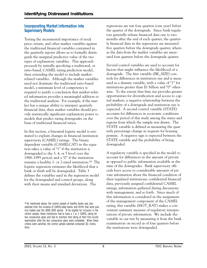#### **Incorporating Market Information into Supervisory Models**

Testing the incremental importance of stock price, return, and other market variables against the traditional financial variables contained in the quarterly reports allows us to formally distinguish the marginal predictive value of the two types of explanatory variables. This approach proceeds by initially specifying a traditional, or ratio-based, CAMEL rating prediction model, then extending the model to include marketrelated variables. Although the market variables need not dominate the traditional ratio-based model, a minimum level of competency is required to justify a conclusion that market-related information provides a meaningful addition to the traditional analysis. For example, if the market has a unique ability to interpret quarterly financial data, then market variables should provide statistically significant explanatory power to models that predict rating downgrades on the basis of traditional financial ratios.

In this section, a binomial logistic model is estimated to explain changes in financial institution supervisory (CAMEL) ratings. The binary dependent variable (CAMELCAT) in the equation takes a value of "1" if the institution is downgraded to the 3, 4, or 5 level over the 1988–1995 period, and a "0" if the institution remains a healthy 1- or 2-rated institution.14 The logistic regression estimates the likelihood that a bank or thrift will be downgraded. Table 3 defines the variables used in the regression model for the downgraded and control groups, along with their means and standard deviations. The

regressions are run four quarters (one year) before the quarter of the downgrade. Since bank regulators generally release financial data one to two months after the end of each quarter, the quarterly financial data in the regressions are measured five quarters before the downgrade quarter, whereas the data from the market variables are measured four quarters before the downgrade quarter.

 expected. A second control variable (STATE) permits. A negative sign is expected between the Several control variables are used to account for factors that might influence the likelihood of a downgrade. The first variable (BK\_SIZE) controls for differences in institution size and is measured as a dummy variable, with a value of "1" for institutions greater than \$1 billion and "0" otherwise. To the extent that firm size provides greater opportunities for diversification and access to capital markets, a negative relationship between the probability of a downgrade and institution size is accounts for differences in economic conditions over the period of this study among the states and regions from which the sample was drawn. The STATE variable is defined as measuring the quarterly percentage change in requests for housing STATE variable and the probability of being downgraded.

A regulatory variable is specified in the model to account for differences in the amount of private as opposed to public information available at the time of the downgrades. Bank supervisory officials have access to considerable amounts of private information about the financial condition of their regulated institutions: confidential financial data, previously assigned confidential CAMEL ratings, information gathered during discussions with management, and so forth. Since much of this information is considered in the assignment of the management component of the CAMEL rating, this variable (MGT\_RAT) makes a convenient summary measure of regulatory interpretations of private information. We include the variable in our test by measuring it from the bank examination on record as of four quarters before the institutions were downgraded.

<sup>14</sup> As mentioned above, the control sample of healthy banks was also selected from the universe of CAMEL-rated banks and thrifts that were publicly traded over the 1988–1995 period. To be eligible for inclusion in the control sample, these institutions had to have a 1 or 2 CAMEL rating for two consecutive years and had to maintain that rating at their first on-site examination after the two consecutive years were completed. When these criteria were satisfied, the control sample selected contained 151 institutions.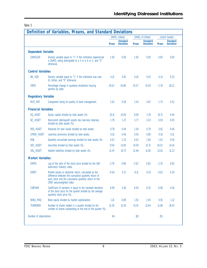Table 3

|                            |                                                                                                                                                                                                     | CAMEL 3-Rated |                                     | CAMEL 4/5-Rated |                                     | Control Sample |                                     |
|----------------------------|-----------------------------------------------------------------------------------------------------------------------------------------------------------------------------------------------------|---------------|-------------------------------------|-----------------|-------------------------------------|----------------|-------------------------------------|
|                            |                                                                                                                                                                                                     | <b>Mean</b>   | <b>Standard</b><br><b>Deviation</b> | <b>Mean</b>     | <b>Standard</b><br><b>Deviation</b> | <b>Mean</b>    | <b>Standard</b><br><b>Deviation</b> |
| <b>Dependent Variable</b>  |                                                                                                                                                                                                     |               |                                     |                 |                                     |                |                                     |
| CAMELCAT                   | Dummy variable equal to "1" if the institution experienced<br>a CAMEL rating downgrade to a 3 or a 4 or 5, and "0"<br>otherwise.                                                                    | 1.00          | 0.00                                | 1.00            | 0.00                                | 0.00           | 0.00                                |
| <b>Control Variables</b>   |                                                                                                                                                                                                     |               |                                     |                 |                                     |                |                                     |
| BK_SIZE                    | Dummy variable equal to "1" if the institution was over<br>\$1 billion, and "0" otherwise.                                                                                                          | 0.21          | 0.41                                | 0.24            | 0.43                                | 0.13           | 0.33                                |
| <b>STATE</b>               | Percentage change in quarterly residential housing<br>permits by state                                                                                                                              |               | 20.86                               | $-25.57$        | 15.59                               | $-2.76$        | 18.22                               |
| <b>Regulatory Variable</b> |                                                                                                                                                                                                     |               |                                     |                 |                                     |                |                                     |
| MGT_RAT                    | Component rating for quality of bank management.                                                                                                                                                    | 2.02          | 0.38                                | 2.43            | 0.67                                | 1.73           | 0.52                                |
| <b>Financial Variables</b> |                                                                                                                                                                                                     |               |                                     |                 |                                     |                |                                     |
| EQ ASSET                   | Equity capital divided by total assets (%).                                                                                                                                                         | 10.11         | 10.06                               | 8.09            | 2.78                                | 10.71          | 4.40                                |
| NC_ASSET                   | Noncurrent (delinquent) assets less loan-loss reserves,<br>divided by total assets (%).                                                                                                             | 1.79          | 1.27                                | 2.77            | 2.03                                | 0.59           | 0.93                                |
| RES_ASSET                  | Reserves for loan losses divided by total assets.                                                                                                                                                   | 0.76          | 0.49                                | 1.04            | 0.70                                | 0.61           | 0.46                                |
| LPROV_ASSET                | Loan-loss provisions divided by total assets.                                                                                                                                                       | 0.31          | 0.40                                | 0.59            | 0.80                                | 0.10           | 0.21                                |
| <b>ROA</b>                 | Quarterly annualized earnings divided by total assets (%).                                                                                                                                          | 0.52          | 1.33                                | 0.03            | 1.69                                | 1.02           | 0.56                                |
| SEC_ASSET                  | Securities divided by total assets (%).                                                                                                                                                             | 17.04         | 13.80                               | 14.59           | 12.71                               | 26.52          | 14.14                               |
| VOL_ASSET                  | Volatile liabilities divided by total assets (%).                                                                                                                                                   | 21.47         | 10.73                               | 21.46           | 11.00                               | 13.42          | 11.23                               |
| <b>Market Variables</b>    |                                                                                                                                                                                                     |               |                                     |                 |                                     |                |                                     |
| <b>EXPRC</b>               | Log of the ratio of the stock price divided by the S&P<br>bank-stock industry index.                                                                                                                | $-2.76$       | 0.68                                | $-3.02$         | 0.82                                | $-2.35$        | 0.83                                |
| <b>EXRET</b>               | Market excess or abnormal return, calculated as the<br>difference between the cumulative quarterly return of<br>each stock and the cumulative quarterly return of the<br>CRSP value-weighted index. |               | 0.17                                | $-0.11$         | 0.20                                | $-0.02$        | 0.20                                |
| <b>COEFVAR</b>             | Coefficient of variation is equal to the standard deviation<br>of the stock price for the quarter divided by the average<br>quarterly stock price (%).                                              | 6.09          | 4.18                                | 8.50            | 8.35                                | 6.08           | 4.36                                |
| BKEQ_MEQ                   | Book equity divided by market capitalization.                                                                                                                                                       | 1.41          | 0.89                                | 1.91            | 2.45                                | 0.91           | 1.12                                |
| <b>TURNOVER</b>            | Number of shares traded in a quarter divided by the<br>number of shares outstanding at the end of the quarter (%).                                                                                  | 12.50         | 11.58                               | 13.35           | 12.64                               | 11.98          | 16.43                               |
| Number of observations     |                                                                                                                                                                                                     | 84            |                                     | 110             |                                     | 151            |                                     |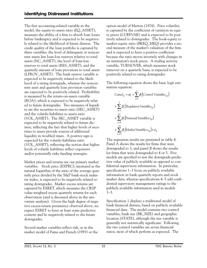liquidity in troubled times. A positive sign is The first accounting-related variable in the model, the equity-to-assets ratio (EQ\_ASSET), measures the ability of a firm to absorb loan losses before bankruptcy and is expected to be negatively related to the likelihood of future distress. The credit quality of the loan portfolio is captured by three variables: the level of delinquent or noncurrent assets less loan-loss reserves relative to total assets (NC\_ASSET), the level of loan-loss reserves to total assets (RES\_ASSET), and the quarterly amount of loan provisions to total assets (LPROV\_ASSET). The bank reserve variable is expected to be negatively related to the likelihood of a rating downgrade, whereas the noncurrent asset and quarterly loan provision variables are expected to be positively related. Profitability is measured by the return-on-assets variable (ROA), which is expected to be negatively related to future downgrades. Two measures of liquidity are the securities-to-assets ratio (SEC\_ASSET) and the volatile-liabilities to assets ratio (VOL\_ASSET). The SEC\_ASSET variable is expected to be negatively related to future distress, reflecting the fact that higher levels of securities to assets provide sources of additional expected for the volatile-liabilities ratio (VOL\_ASSET), reflecting the notion that higher levels of volatile liabilities reflect expensive and/or potentially risky funding strategies.

 variables. Stock price (EXPRC), measured as the Market prices and returns are our primary market natural logarithm of the ratio of the average quarterly price divided by the S&P bank-stock industry index, is expected to be negatively related to rating downgrades. Market excess returns are captured by EXRET, which measures the CRSP value-weighted excess quarterly returns for each observation (and is discussed above in the univariate analysis). Given the high degree of negative excess-return persistence observed above, we expect EXRET to have at least some predictive content and be negatively related to the future downgrades.

Several market variables reflect risk, as in the market model of Fama and French (1993) or the

 an institution's stock prices. A trading activity option model of Merton (1974). Price volatility is captured by the coefficient of variation in equity prices (COEFVAR) and is expected to be positively related to downgrades. The book-equity to market-equity ratio (BKEQ\_MEQ) provides a second measure of the market's valuation of the firm and is expected to have a positive coefficient because the ratio moves inversely with changes in variable, TURNOVER, which measures stock turnover on a quarterly basis, is expected to be positively related to rating downgrades.

The following equation shows the basic logit estimation equation:

$$
Camel_{it} = \alpha_i + \sum_{j=1}^{2} \beta_j \left( \text{Control Variables}_{ijt} \right)
$$
\n
$$
+ \sum_{j=3}^{3} \beta_j \left( \text{Regulatory Variables}_{ijt} \right)
$$
\n
$$
+ \sum_{j=4}^{10} \beta_j \left( \text{Financial Variables}_{ijt} \right)
$$
\n
$$
+ \sum_{j=1}^{15} \beta_j \left( \text{Market Variables } s_{ijt} \right) + \varepsilon_{it}
$$

The regression results are presented in table 4. Panel A shows the results for firms that were downgraded to 3, and panel B shows the results for firms that were downgraded to 4 or 5. Five models are specified to test the downgrade-predictive value of publicly available as opposed to confidential supervisory information. In particular, specifications 1–3 focus on publicly available information in bank quarterly reports and stock market data, whereas specifications 4–5 add confidential supervisory management ratings to the publicly available information used in models 1–3.

Specification 1 displays a traditional model of bank financial distress, based on publicly available financial data. The model contains two control variables, bank size (BK\_SIZE) and geographic location (STATE), although the size variable is generally not statistically significant. Following the two control variables are seven financial ratios, most of which perform as expected. The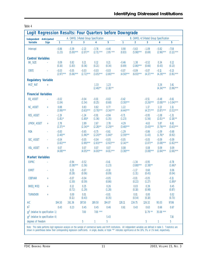| I<br>۰, |  |
|---------|--|
|---------|--|

| Logit Regression Results: Four Quarters before Downgrade |                      |                        |                                      |                        |                         |                        |                        |                                        |                         |                        |                         |
|----------------------------------------------------------|----------------------|------------------------|--------------------------------------|------------------------|-------------------------|------------------------|------------------------|----------------------------------------|-------------------------|------------------------|-------------------------|
| <b>Independent Anticipated</b>                           |                      |                        | A. CAMEL 3-Rated Group Specification |                        |                         |                        |                        | B. CAMEL 4/5-Rated Group Specification |                         |                        |                         |
| <b>Variable</b>                                          | <b>Sign</b>          | 1                      | $\overline{2}$                       | 3                      | $\overline{4}$          | 5                      | 1                      | $\overline{2}$                         | 3                       | 4                      | 5                       |
| Intercept                                                |                      | $-0.86$<br>(1.23)      | $-3.39$<br>$(5.00)***$               | $-2.13$<br>$(2.07)$ ** | $-3.76$<br>$(2.71)$ *** | $-4.46$<br>$2.95***$   | 0.90<br>(0.83)         | $-5.63$<br>$(5.98)***$                 | $-1.09$<br>(0.69)       | $-5.82$<br>$(2.96)***$ | $-7.58$<br>$(3.12)$ *** |
| <b>Control Variables</b>                                 |                      |                        |                                      |                        |                         |                        |                        |                                        |                         |                        |                         |
| <b>BK_SIZE</b>                                           |                      | 0.09<br>(0.16)         | 0.82<br>(1.83)                       | 0.21<br>(0.36)         | 0.12<br>(0.21)          | 0.21<br>(0.34)         | $-0.46$<br>(0.69)      | 1.38<br>$(2.86)***$                    | $-0.52$<br>(0.66)       | 0.34<br>(0.43)         | 0.12<br>(0.13)          |
| <b>STATE</b>                                             |                      | $-0.03$<br>$(2.97)***$ | $-0.05$<br>$(5.06)***$               | $-0.03$<br>$(2.72)***$ | $-0.03$<br>$(3.05)***$  | $-0.03$<br>$(2.80)***$ | $-0.07$<br>$(4.50)***$ | $-0.09$<br>$(6.93)***$                 | $-0.07$<br>$(4.17)$ *** | $-0.11$<br>$(4.29)***$ | $-0.13$<br>$(3.91)***$  |
| <b>Regulatory Variable</b>                               |                      |                        |                                      |                        |                         |                        |                        |                                        |                         |                        |                         |
| MGT_RAT                                                  | $\ddot{\phantom{1}}$ |                        |                                      |                        | 1.33<br>$(2.46)$ **     | 1.23<br>$(2.18)$ **    |                        |                                        |                         | 3.26<br>$(4.34)***$    | 3.41<br>$(3.96)***$     |
| <b>Financial Variables</b>                               |                      |                        |                                      |                        |                         |                        |                        |                                        |                         |                        |                         |
| EQ_ASSET                                                 |                      | $-0.02$<br>(1.04)      |                                      | $-0.04$<br>(1.54)      | $-0.01$<br>(0.25)       | $-0.02$<br>(0.68)      | $-0.42$<br>$(3.30)***$ |                                        | $-0.51$<br>$(3.26)***$  | $-0.48$<br>$(3.08)***$ | $-0.61$<br>$(-3.04)***$ |
| NC_ASSET                                                 | $\ddot{\phantom{1}}$ | 0.88<br>$(3.99)***$    |                                      | 0.83<br>$(3.63)***$    | 0.82<br>$(3.70)***$     | 0.77<br>$(3.34)***$    | 1.22<br>$(4.44)***$    |                                        | 1.17<br>$(4.17)$ ***    | 1.13<br>$(3.87)$ ***   | 1.11<br>$(3.52)***$     |
| <b>RES_ASSET</b>                                         | L.                   | $-1.19$<br>$(1.81)$ *  |                                      | $-1.24$<br>$(1.80)$ *  | $-0.91$<br>(1.36)       | $-0.94$<br>(1.35)      | $-0.71$<br>(1.23)      |                                        | $-0.95$<br>(1.56)       | $-1.08$<br>$(2.01)$ ** | $-1.31$<br>$(2.18)$ **  |
| LPROV_ASSET                                              | $\ddot{\phantom{1}}$ | 2.78<br>$(2.37)$ **    |                                      | 2.89<br>$(2.34)$ **    | 2.67<br>$(2.28)$ **     | 2.78<br>$(2.29)$ **    | 4.29<br>$(3.48)***$    |                                        | 4.63<br>$(3.43)***$     | 5.87<br>$(3.79)***$    | 6.61<br>$(3.63)***$     |
| <b>ROA</b>                                               |                      | $-0.83$<br>$(2.40)$ ** |                                      | $-0.65$<br>$(1.96)$ ** | $-0.75$<br>$(2.20)$ **  | $-0.61$<br>$(1.84)^*$  | $-1.29$<br>$(2.59)***$ |                                        | $-0.86$<br>(1.43)       | $-1.09$<br>$(1.76)^*$  | $-0.68$<br>(0.92)       |
| SEC_ASSET                                                |                      | $-0.04$<br>$(2.82)***$ |                                      | $-0.05$<br>$(2.89)***$ | $-0.04$<br>$(2.83)***$  | $-0.05$<br>$(2.92)***$ | $-0.05$<br>$(2.14)$ ** |                                        | $-0.05$<br>$(2.07)$ **  | $-0.09$<br>$(3.08)***$ | $-0.09$<br>$(2.82)***$  |
| VOL_ASSET                                                | $\ddot{}$            | 0.07<br>$(4.08)***$    |                                      | 0.07<br>$(4.05)***$    | 0.07<br>$(4.00)***$     | 0.07<br>$(4.01)***$    | 0.08<br>$(3.38)***$    |                                        | 0.08<br>$(3.08)***$     | 0.09<br>$(2.84)***$    | 0.09<br>$(2.66)***$     |
| <b>Market Variables</b>                                  |                      |                        |                                      |                        |                         |                        |                        |                                        |                         |                        |                         |
| <b>EXPRC</b>                                             |                      |                        | $-0.94$<br>$(3.38)***$               | $-0.52$<br>(1.56)      |                         | $-0.41$<br>(1.23)      |                        | $-1.34$<br>$(3.88)***$                 | $-0.95$<br>$(2.38)$ **  |                        | $-0.78$<br>$(1.66)^*$   |
| <b>EXRET</b>                                             |                      |                        | 0.25<br>(0.28)                       | $-0.07$<br>(0.06)      |                         | $-0.10$<br>(0.09)      |                        | $-1.17$<br>(1.31)                      | 0.60<br>(0.45)          |                        | 0.06<br>(0.04)          |
| <b>COEFVAR</b>                                           | $\ddot{}$            |                        | $-0.07$<br>(1.50)                    | $-0.04$<br>(0.59)      |                         | $-0.05$<br>(0.86)      |                        | $-0.01$<br>(0.22)                      | $-0.05$<br>(1.27)       |                        | $-0.11$<br>$(1.89)^*$   |
| BKEQ_MEQ                                                 | $\ddot{}$            |                        | 0.12<br>(0.72)                       | 0.25<br>(1.29)         |                         | 0.26<br>(1.28)         |                        | 0.03<br>(0.18)                         | 0.39<br>(0.98)          |                        | 0.45<br>(0.87)          |
| <b>TURNOVER</b>                                          | $\pm$                |                        | 0.00<br>(0.11)                       | 0.01<br>(0.43)         |                         | $-0.01$<br>(0.35)      |                        | 0.01<br>(0.54)                         | 0.00<br>(0.18)          |                        | 0.02<br>(0.73)          |
| AIC                                                      |                      | 194.50                 | 261.36                               | 197.50                 | 189.50                  | 194.07                 | 128.11                 | 224.75                                 | 126.32                  | 95.03                  | 97.86                   |
| $R^2$                                                    |                      | 0.43                   | 0.23                                 | 0.45                   | 0.45                    | 0.46                   | 0.61                   | 0.43                                   | 0.63                    | 0.66                   | 0.67                    |
| $\chi^2$ (relative to specification 1)                   |                      |                        |                                      | 7.00                   | 7.00 ***                |                        |                        |                                        | $11.79**$               | 35.08 ***              |                         |
| $\chi^2$ (relative to specification 4)                   |                      |                        |                                      |                        |                         | 5.43                   |                        |                                        |                         |                        | 7.16                    |
| degrees of freedom                                       |                      |                        |                                      | 5                      | 1                       | 5                      |                        |                                        | $\overline{5}$          | 1                      | 5                       |

Note: This table performs logit regression analysis on the sample of commercial banks and thrift institutions. All independent variables are defined in table 3. T-statistics are shown in parentheses below their corresponding regression coefficients. A single, double, or triple "\*" indicates significance at the 10%, 5%, or 1% level, respectively.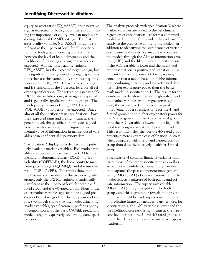tions that use this variable. A third asset-quality equity-to-asset ratio (EQ\_ASSET) has a negative sign as expected for both groups, thereby confirming the importance of equity levels in models predicting distressed CAMEL ratings. The first asset-quality variable, NC\_ASSET, is highly significant at the 1 percent level for all specifications for both groups, showing a direct link between the level of loan delinquency and the likelihood of obtaining a rating downgrade as expected. Another asset-quality variable, RES\_ASSET, has the expected negative sign, but it is significant in only four of the eight specificavariable, LPROV\_ASSET, has its expected sign and is significant at the 1 percent level for all relevant specifications. The return-on-asset variable (ROA) also exhibits a negative sign as expected and is generally significant for both groups. The two liquidity measures (SEC\_ASSET and VOL\_ASSET) also perform as expected. Since almost all the coefficients in specification 1 have their expected signs and are significant at the 1 percent level, this specification provides a good benchmark for assessing the marginal or incremental value of information in market-based variables or in confidential supervisory data.

Specification 2 displays a model with only publicly available market variables. Five market variables are specified: the excess price (EXPRC), a measure of abnormal returns (EXRET), price volatility (COEFVAR), the book-equity to market-equity ratio (BKEQ\_MEQ), and the turnover ratio (TURNOVER). The results show that of the five market variables for the two downgraded groups, only the EXPRC variable is statistically significant at the 1 percent level for both the 3 rated group and the 4/5-rated group. None of the other market variables appears to be a good predictor of the downgrades. The comparison of the first two models shows that the model using only market variables, specification 2, performs poorly in comparison with the basic CAMEL prediction model using only quarterly accounting data, specification 1.

The analysis proceeds with specification 3, where market variables are added to the benchmark regression of specification 1 to form a combined model to determine if the market data add significantly to the predictive ability of the model. In addition to identifying the significance of variable coefficients and t-tests, we are able to compare the models through the Akaike information criterion (AIC) and the likelihood-ratio-test statistic. If the AIC variable is lower and the likelihoodratio-test statistic is positive and statistically significant from a comparison of 3 to 1, we may conclude that a model based on public information combining quarterly and market-based data has higher explanatory power than the benchmark model in specification 1. The results for the combined model show that although only one of the market variables in the regression is significant, the overall model reveals a marginal improvement over specification 1 for the 4- and 5-rated group but no higher explanatory power for the 3-rated group. For the 4- and 5-rated group only, the AIC variable is lower, and its log likelihood test is significant at the 5 percent level. This result highlights the fact the 4/5-rated group presents a more extreme case of financial distress when compared with the 1- and 2-rated control group than does the relatively healthier 3-rated group.

Specification 4 contains financial variables similar to those of the other specifications as well as an additional confidential supervisory variable that captures the past component management rating (MGT\_RAT) of the institution. Thus the model reflects a mixture of both public and private information. The supervisory variable (MGT\_RAT) is highly significant for both groups, and this significance reveals that private information held by bank supervisors is important in predicting future downgrades. Furthermore, for specification 4, the AIC variable is lower and the log-likelihood-test ratio is significant at the 1 percent level for both the 3- and 4/5-rated groups, a result that demonstrates improvement over specification 1.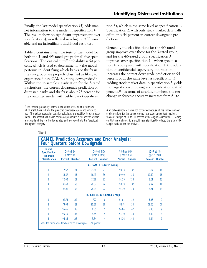Finally, the last model specification (5) adds market information to the model in specification 4. The results show no significant improvement over specification 4, as reflected in a higher AIC variable and an insignificant likelihood-ratio test.

Table 5 contains in-sample tests of the model for both the 3- and 4/5-rated groups for all five specifications. The critical cutoff probability is 50 percent, which is used to determine how the model performs in identifying which banks or thrifts in the two groups are properly classified as likely to experience future CAMEL rating downgrades.15 Within the in-sample classification for the 3-rated institutions, the correct downgrade prediction of distressed banks and thrifts is about 73 percent for the combined model with public data (specifica-

<sup>15</sup> The "critical probability" refers to the cutoff level, which determines which institutions fall into the predicted downgrade group and which do not. The logistic regression equation calculates a probability for each observation. The institutions whose calculated probability is 50 percent or more are considered likely to be downgraded and are placed into the "predicted downgrade" category.

**CAMEL Prediction Accuracy and Error Analysis:** 

tion 3), which is the same level as specification 1. Specification 2, with only stock market data, falls off to only 54 percent in correct downgrade predictions.

Generally the classifications for the 4/5-rated group improve over those for the 3-rated group; and for the 4/5-rated group, specification 3 improves over specification 1. When specification 4 is compared with specification 1, the addition of confidential supervisory information increases the correct downgrade prediction to 95 percent or at the same level as specification 3. Adding stock market data in specification 5 yields the largest correct downgrade classifications, at 96 percent.16 In terms of absolute numbers, the net change in forecast accuracy increases from 61 to

16 An out-of-sample test was not conducted because of the limited number of observations for the sample groups. An out-of-sample test requires a "holdout" sample of 20 to 30 percent of the original observations. Holding out that many observations would have significantly reduced the size of the sample available for the analysis.

| <b>Model</b><br><b>Specification</b><br><b>In-Sample</b> |                | $D-Pred$ $(D)$<br>(Correct D) |                | D-Pred (ND)<br>(Type 1 Error) | ND-Pred (ND)<br>(Correct ND) |               | $ND$ –Pred $(D)$<br>(Type 2 Error) |               |
|----------------------------------------------------------|----------------|-------------------------------|----------------|-------------------------------|------------------------------|---------------|------------------------------------|---------------|
| <b>Classification</b>                                    | <b>Percent</b> | <b>Number</b>                 | <b>Percent</b> | <b>Number</b>                 | <b>Percent</b>               | <b>Number</b> | <b>Percent</b>                     | <b>Number</b> |
|                                                          |                |                               |                | A. CAMEL 3-Rated Group        |                              |               |                                    |               |
|                                                          | 72.62          | 61                            | 27.38          | 23                            | 90.73                        | 137           | 9.27                               | 14            |
| $\overline{\phantom{a}}$                                 | 53.57          | 45                            | 46.43          | 39                            | 89.40                        | 135           | 10.60                              | 16            |
| 3                                                        | 72.62          | 61                            | 27.38          | 23                            | 91.39                        | 138           | 8.61                               | 13            |
| 4                                                        | 71.43          | 60                            | 28.57          | 24                            | 90.73                        | 137           | 9.27                               | 14            |
| 5                                                        | 73.81          | 62                            | 26.19          | 22                            | 91.39                        | 138           | 8.61                               | 13            |
|                                                          |                |                               |                | B. CAMEL 4/5-Rated Group      |                              |               |                                    |               |
| 1                                                        | 92.73          | 102                           | 7.27           | 8                             | 94.04                        | 142           | 5.96                               | 9             |
| 2                                                        | 73.64          | 81                            | 26.36          | 29                            | 88.74                        | 134           | 11.26                              | 17            |
| 3                                                        | 95.45          | 105                           | 4.55           | 5                             | 94.04                        | 142           | 5.96                               | 9             |
| 4                                                        | 95.45          | 105                           | 4.55           | 5                             | 94.70                        | 143           | 5.30                               | 8             |
| 5                                                        | 96.36          | 106                           | 3.64           | 4                             | 95.36                        | 144           | 4.64                               | 7             |

Table 5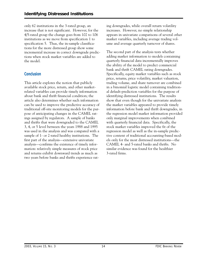only 62 institutions in the 3-rated group, an increase that is not significant. However, for the 4/5-rated group the change goes from 102 to 106 institutions as we move from specification 1 to specification 5. Thus, the in-sample classifications for the more distressed group show some incremental increase in correct downgrade predictions when stock market variables are added to the model.

# **Conclusion**

 ings assigned by regulators. A sample of banks This article explores the notion that publicly available stock price, return, and other marketrelated variables can provide timely information about bank and thrift financial condition; the article also determines whether such information can be used to improve the predictive accuracy of traditional off-site monitoring models for the purpose of anticipating changes in the CAMEL ratand thrifts that were downgraded to the CAMEL 3, 4, or 5 level between the years 1988 and 1995 was used in the analysis and was compared with a sample of 1- or 2-rated healthy institutions. The first part of the analysis—extensive univariate analysis—confirms the existence of timely information: relatively simple measures of stock price and returns exhibit downward trends as much as two years before banks and thrifts experience rating downgrades, while overall return volatility increases. However, no simple relationship appears in univariate comparisons of several other market variables, including average trading volume and average quarterly turnover of shares.

The second part of the analysis tests whether adding market information to models containing quarterly financial data incrementally improves the ability of the model to predict commercial bank and thrift CAMEL rating downgrades. Specifically, equity market variables such as stock price, returns, price volatility, market valuation, trading volume, and share turnover are combined in a binomial logistic model containing traditional default-prediction variables for the purpose of identifying distressed institutions. The results show that even though for the univariate analysis the market variables appeared to provide timely information before bank and thrift downgrades, in the regression model market information provided only marginal improvements when combined with quarterly financial data. Specifically, the stock market variables improved the fit of the regression model as well as the in-sample predictive content of traditional accounting-based models only for the most distressed institutions—the CAMEL 4- and 5-rated banks and thrifts. No similar evidence was found for the healthier 3-rated firms.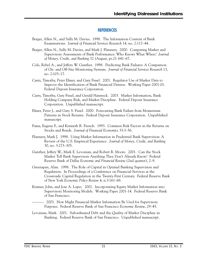#### **REFERENCES**

- Berger, Allen N., and Sally M. Davies. 1998. The Information Content of Bank Examinations. *Journal of Financial Services Research* 14, no. 2:117–44.
- Berger, Allen N., Sally M. Davies, and Mark J. Flannery. 2000. Comparing Market and Supervisory Assessments of Bank Performance: Who Knows What When? *Journal of Money, Credit, and Banking* 32 (August, pt.2): 641–67.
- Cole, Rebel A., and Jeffery W. Gunther. 1998. Predicting Bank Failures: A Comparison of On- and Off-Site Monitoring Systems. *Journal of Financial Services Research* 13, no. 2:103–17.
- Curry, Timothy, Peter Elmer, and Gary Fissel. 2001. Regulator Use of Market Data to Improve the Identification of Bank Financial Distress. Working Paper 2001-01. Federal Deposit Insurance Corporation.
- Curry, Timothy, Gary Fissel, and Gerald Hanweck. 2003. Market Information, Bank Holding Company Risk, and Market Discipline. Federal Deposit Insurance Corporation. Unpublished manuscript.
- Elmer, Peter J., and Gary S. Fissel. 2000. Forecasting Bank Failure from Momentum Patterns in Stock Returns. Federal Deposit Insurance Corporation. Unpublished manuscript.
- Fama, Eugene F., and Kenneth R. French. 1993. Common Risk Factors in the Returns on Stocks and Bonds. *Journal of Financial Economics* 33:3–56.
- Flannery, Mark J. 1998. Using Market Information in Prudential Bank Supervision: A Review of the U.S. Empirical Experience. *Journal of Money, Credit, and Banking*  30, no. 3:273–305.
- Gunther, Jeffery W., Mark E. Levonian, and Robert R. Moore. 2001. Can the Stock Market Tell Bank Supervisors Anything They Don't Already Know? Federal Reserve Bank of Dallas *Economic and Financial Review* (2nd quarter), 2–9.
- Greenspan, Alan. 1998. The Role of Capital in Optimal Banking Supervision and Crossroads: Capital Regulation in the Twenty-First Century. Federal Reserve Bank Regulation. In Proceedings of a Conference on Financial Services at the of New York *Economic Policy Review* 4, n.3:161–68.
- Krainer, John, and Jose A. Lopez. 2001. Incorporating Equity Market Information into Supervisory Monitoring Models. Working Paper 2001-14. Federal Reserve Bank of San Francisco.
- ———. 2003. How Might Financial Market Information Be Used for Supervisory Purposes. Federal Reserve Bank of San Francisco *Economic Review*, 29–45.
- Levonian, Mark. 2001. Subordinated Debt and the Quality of Market Discipline in Banking. Federal Reserve Bank of San Francisco. Unpublished manuscript.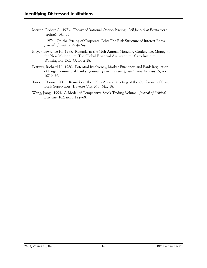- Merton, Robert C. 1973. Theory of Rational Option Pricing. *Bell Journal of Economics* 4 (spring): 141–83.
- ———. 1974. On the Pricing of Corporate Debt: The Risk Structure of Interest Rates. *Journal of Finance* 29:449–70.
- Meyer, Lawrence H. 1998. Remarks at the 16th Annual Monetary Conference, Money in the New Millennium: The Global Financial Architecture. Cato Institute, Washington, DC. October 28.
- Pettway, Richard H. 1980. Potential Insolvency, Market Efficiency, and Bank Regulation of Large Commercial Banks. *Journal of Financial and Quantitative Analysis* 15, no. 1:219–36.
- Tanoue, Donna. 2001. Remarks at the 100th Annual Meeting of the Conference of State Bank Supervisors, Traverse City, MI. May 18.
- Wang, Jiang. 1994. A Model of Competitive Stock Trading Volume. *Journal of Political Economy* 102, no. 1:127–68.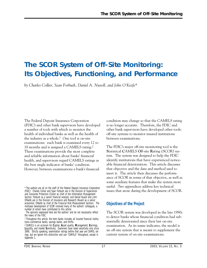# **The SCOR System of Off-Site Monitoring: Its Objectives, Functioning, and Performance**

*by Charles Collier, Sean Forbush, Daniel A. Nuxoll, and John O'Keefe\** 

The Federal Deposit Insurance Corporation (FDIC) and other bank supervisors have developed a number of tools with which to monitor the health of individual banks as well as the health of the industry as a whole.<sup>1</sup> One tool is on-site examinations: each bank is examined every 12 to 18 months and is assigned a CAMELS rating.2 These examinations provide the most complete and reliable information about banks' financial health, and supervisors regard CAMELS ratings as the best single indicator of banks' condition. However, between examinations a bank's financial

\* The authors are all on the staff of the Federal Deposit Insurance Corporation (FDIC): Charles Collier and Sean Forbush are in the Division of Supervision and Consumer Protection (Collier as chief of the Information Management Section, Forbush as a senior financial analyst), and Daniel Nuxoll and John O'Keefe are in the Division of Insurance and Research (Nuxoll as a senior economist, O'Keefe as chief of the Financial Risk Measurement Section). The multiyear development of SCOR involved many of the authors' colleagues, a number of whom have contributed to this article.

condition may change so that the CAMELS rating is no longer accurate. Therefore, the FDIC and other bank supervisors have developed other tools: off-site systems to monitor insured institutions between examinations.

The FDIC's major off-site monitoring tool is the **S**tatistical **C**AMELS **O**ff-site **R**ating (SCOR) system. The system was designed to help the FDIC identify institutions that have experienced noticeable financial deterioration. This article discusses that objective and the data and method used to meet it. The article then discusses the performance of SCOR in terms of that objective, as well as some auxiliary features that make the system more useful. Two appendices address key technical issues that arose during the development of SCOR.

# **Objectives of the Project**

The SCOR system was developed in the late 1990s to detect banks whose financial condition had substantially deteriorated since their last on-site examination. As its name indicates, the model is an off-site system that is meant to supplement the current system of on-site examinations.

The opinions expressed here are the authors' and do not necessarily reflect the views of the FDIC.

<sup>1</sup> Throughout this article, the term *banks* includes all insured financial institutions—commercial banks, savings banks, and thrifts.

<sup>2</sup> CAMELS is an acronym for **C**apital, **A**sset quality, **M**anagement, **E**arnings, **L**iquidity, and market **S**ensitivity. Examiners have rated sensitivity only since 1998. Strictly speaking, examination ratings before that year are CAMEL ratings, but we ignore this distinction and use "CAMELS" throughout, except in Appendix 1.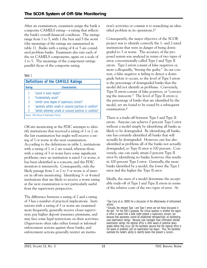After an examination, examiners assign the bank a composite CAMELS rating—a rating that reflects the bank's overall financial condition. The ratings range from 1 to 5, with 1 the best and 5 the worst (the meanings of the ratings are summarized in table 1). Banks with a rating of 4 or 5 are considered problem banks. Examiners also rate each of the six CAMELS components, again on a scale of 1 to 5. The meanings of the component ratings parallel those of the composite rating.

#### Table 1

| <b>Definitions of the CAMELS Ratings</b> |                                                              |  |  |  |  |
|------------------------------------------|--------------------------------------------------------------|--|--|--|--|
| Rating<br><b>Characteristic</b>          |                                                              |  |  |  |  |
| 1                                        | "sound in every respect"                                     |  |  |  |  |
| $\overline{2}$                           | "fundamentally sound"                                        |  |  |  |  |
| 3                                        | "exhibit some degree of supervisory concern"                 |  |  |  |  |
| 4                                        | "generally exhibit unsafe or unsound practices or condition" |  |  |  |  |
| 5                                        | "exhibit extremely unsafe or unsound practices or condition" |  |  |  |  |
|                                          | Source: FDIC Manual of Examination Policies.                 |  |  |  |  |

Off-site monitoring at the FDIC attempts to identify institutions that received a rating of 1 or 2 on the last examination but might well receive a rating of 3 or worse at the next examination. According to the definitions in table 1, institutions with a rating of 1 or 2 are sound, whereas those with a rating of 3 or worse have some significant problems; once an institution is rated 3 or worse, it has been identified as a concern, and the FDIC monitors it intensively. Consequently, only the likely passage from 1 or 2 to 3 or worse is of interest in off-site monitoring. Identifying 3- or 4-rated institutions that are likely to receive a worse rating at the next examination is not particularly useful from the supervisory perspective.

The difference between a rating of 2 and a rating of 3 has a number of practical implications. Institutions with a rating of 3 or worse are examined more frequently, generally receive closer supervision, pay higher deposit insurance premiums, and may face some legal restrictions on their activities. (Supervisors often take either formal or informal enforcement actions against these banks, and enforcement actions generally restrict an institution's activities or commit it to remedying an identified problem in its operations.)3

Consequently, the major objective of the SCOR project was to identify correctly the 1- and 2-rated institutions that were in danger of being downgraded to 3 or worse. The accuracy of the proposed system was analyzed in terms of two types of error, conventionally called Type I and Type II errors. Type I errors consist of false negatives or, more colloquially, "freeing the guilty." In our context, a false negative is failing to detect a downgrade before it occurs, so the level of Type I errors is the percentage of downgraded banks that the model did not identify as problems. Conversely, Type II errors consist of false positives, or "convicting the innocent." The level of Type II errors is the percentage of banks that are identified by the model, yet are found to be sound by a subsequent examination.4

There is a trade-off between Type I and Type II errors. Anyone can achieve 0 percent Type I error without a model simply by identifying all banks as likely to be downgraded. By identifying all banks, one has certainly identified all banks that will actually be downgraded. However, one has also identified as problems all of the banks not actually downgraded, so Type II error is 100 percent. Conversely, one can easily attain 0 percent Type II error by identifying no banks; however, this results in 100 percent Type I error. Generally, the more banks identified by a model, the lower the Type I error and the higher the Type II error.

Ideally, the users of a model determine the acceptable trade-off of Type I and Type II errors in terms of the relative costs of the two types of error. At

<sup>3</sup> See Curry et al. (1999) for a discussion of the effectiveness of enforcement actions.

<sup>4</sup> Actually, the relevant Type I and Type II errors are not those discussed in the text. For the FDIC's purposes, the critical question is whether the regional office is aware that a bank might present a supervisory concern, but because that awareness cannot be established retrospectively, all backtesting uses examination ratings. Because case managers have information besides examination ratings, the regional office is often aware of potential downgrades before they occur, but the backtests assume that the regional office is not aware of problems until an examination has begun. Thus, the backtests overstate the model's ability to identify banks that present a concern.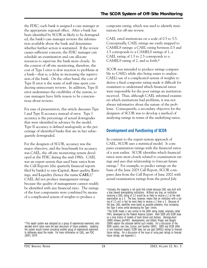the FDIC, each bank is assigned a case manager at the appropriate regional office. After a bank has been identified by SCOR as likely to be downgraded, the bank's case manager reviews the information available about the bank and determines whether further action is warranted. If the review causes sufficient concern, the FDIC manager can schedule an examination and can allocate resources to supervise the bank more closely. In the context of off-site monitoring, therefore, the cost of Type I error is slow reaction to problems at a bank—that is, a delay in increasing the supervision of the bank. On the other hand, the cost of Type II error is the waste of staff time spent conducting unnecessary reviews. In addition, Type II error undermines the credibility of the system, so case managers have little reason to be conscientious about reviews.

For ease of presentation, this article discusses Type I and Type II accuracy instead of error. Type I accuracy is the percentage of actual downgrades that were identified in advance by the model. Type II accuracy is defined analogously as the percentage of identified banks that are in fact subsequently downgraded.

For the designers of SCOR, accuracy was the major objective, and the benchmark for accuracy was CAEL, the off-site monitoring system developed at the FDIC during the mid-1980s. CAEL was an expert system that used basic ratios from the Call Reports (the quarterly financial reports filed by banks) to rate **C**apital, **A**sset quality, **E**arnings, and **L**iquidity (hence the name **CAEL**);5 CAEL did not produce management ratings because the quality of management cannot readily be identified with any financial ratio. The ratings of the four components were combined by means of a complicated system of weights to produce a

composite rating, which was used to identify institutions for off-site review.

CAEL rated institutions on a scale of 0.5 to 5.5. Conceptually, CAEL ratings are easily mapped to CAMELS ratings: a CAEL rating between 0.5 and 1.5 corresponds to a CAMELS ratings of 1, a CAEL rating of 1.5 to 2.5 corresponds to a CAMELS rating of 2, and so forth.6

SCOR was intended to produce ratings comparable to CAEL's while also being easier to analyze. CAEL's use of a complicated system of weights to derive a final composite rating made it difficult for examiners to understand which financial ratios were responsible for the poor ratings an institution received. Thus, although CAEL informed examiners which institutions had problems, it was not always informative about the nature of the problems. Consequently, a secondary objective for the designers of SCOR was to develop a method of analyzing ratings in terms of the underlying ratios.

#### **Development and Functioning of SCOR**

In contrast to the expert-system approach of CAEL, SCOR uses a statistical model. It compares examination ratings with the financial ratios of a year earlier. SCOR identifies which financial ratios were most closely related to examination ratings and uses that relationship to forecast future ratings.7 For example, to predict ratings on the basis of the June 2003 Call Report, SCOR compares data from the Call Report of June 2002 with actual examination ratings from the period July

<sup>5</sup> This expert system was designed by a group of experienced examiners, who decided which ratios were the best precursors of future problems. Updating the system would involve convoking another group of experienced examiners to deliberate about the model. For more information on CAEL, see FDIC (1997), 507ff.

<sup>6</sup> Actually, the mapping is not quite that simple because CAEL was built with a bias toward downgrading institutions. Without any bias, an institution receiving a CAEL rating of 2.5 would be as likely to receive a 2 at the next examination as a 3. The bias, however, means that an institution with a rating of 2.5 will in fact be more likely to receive a 2 than a 3. Because of the bias, CAEL identifies more banks as possible problems, thus increasing the Type II errors while decreasing the Type I errors. 7 The SCOR model is very similar to the SEER rating model, originally called FIMS, developed by the Federal Reserve System. Both SEER and SCOR draw on a long history of models of bank failure and distress. Demirgüç-Kunt (1989) reviews pre-FIMS developments, and Gilbert, Meyer, and Vaughn (1999) explain the rationale behind such models. For a discussion of the SEER system, see Cole, Cornyn, and Gunther (1995). SEER and SCOR differ in one important respect: SCOR does not use past CAMELS ratings to forecast future ratings. For a discussion of the issue of using past ratings to forecast future ratings, see Appendix 1.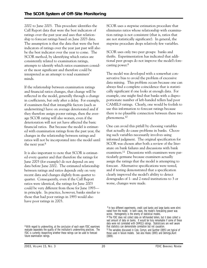2002 to June 2003. This procedure identifies the Call Report data that were the best indicators of ratings over the past year and uses that relationship to forecast ratings based on June 2003 data. The assumption is that the data that were the best indicators of ratings over the year just past will also be the best indicator over the year to come. The SCOR method, by identifying which ratios are consistently related to examination ratings, attempts to identify which ratios examiners consider the most significant and therefore could be interpreted as an attempt to read examiners' minds.

If the relationship between examination ratings and financial ratios changes, that change will be reflected in the model, generally through a change in coefficients, but only after a delay. For example, if examiners find that intangible factors (such as underwriting) have on average deteriorated and if they therefore assign poorer ratings, then the average SCOR rating will also worsen, even if the deterioration will not yet have affected the basic financial ratios. But because the model is estimated with examination ratings from the past year, the changes in the relationship between ratings and ratios will not be incorporated into the model until the next year.<sup>8</sup>

It is also important to note that SCOR is estimated every quarter and that therefore the ratings for June 2003 (for example) do not depend on any data before June 2002. The estimated relationship between ratings and ratios depends only on very recent data and changes slightly from quarter to quarter. Consequently, even if the Call Report ratios were identical, the ratings for June 2003 could be very different from those for June 1993 in principle. In practice, however, banks similar to those that had poor ratings in 1993 would also have poor ratings in 2003.

8 With regard to underwriting, at the conclusion of each exam FDIC examiners evaluate separately the quality of the institution's underwriting practices. The FDIC is currently researching whether these ratings can be used to forecast future examination ratings.

SCOR uses a stepwise estimation procedure that eliminates ratios whose relationship with examination ratings is not consistent (that is, ratios that are not statistically significant). In general, the stepwise procedure drops relatively few variables.

SCOR uses only two peer groups: banks and thrifts. Experimentation has indicated that additional peer groups do not improve the model's forecasting power.9

The model was developed with a somewhat conservative bias to avoid the problem of excessive data mining. This problem occurs because one can always find a complete coincidence that is statistically significant if one looks at enough data. For example, one might find that banks with a disproportionate number of left-handed tellers had poor CAMELS ratings. Clearly, one would be foolish to use this information to forecast ratings because there is no plausible connection between these two phenomena.10

One can avoid this pitfall by choosing variables that actually do cause problems in banks. Choosing such variables necessarily involves using informed judgment. The original specification for SCOR was chosen after both a review of the literature on bank failures and discussions with bank examiners.11 Discussions with examiners were particularly germane because examiners actually assign the ratings that the model is attempting to forecast. Alternative specifications were tested, and if testing demonstrated that a specification clearly improved the model's ability to detect downgrades of 1- and 2-rated institutions to 3 or worse, changes were made.

<sup>&</sup>lt;sup>9</sup> In two different experiments, credit card banks and large banks were eliminated from the model. In both cases, the model's forecasting power was worse. Homogeneity is the enemy of statistical models. 10 The FDIC does not collect data on left-handed tellers, but it does collect a vast amount of data on banks. It would be truly remarkable if some of these data were not correlated with CAMELS ratings. Statisticians are well aware that statistics can demonstrate correlation but not causation.

<sup>11</sup> The variables discussed in Cole, Cornyn, and Gunther (1995) are typical of those used in failure models. See also Hooks (1995) and Demirgüç-Kunt (1989).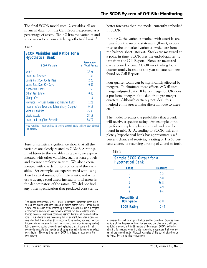The final SCOR model uses 12 variables; all are financial data from the Call Report, expressed as a percentage of assets. Table 2 lists the variables and some ratios for a completely hypothetical bank.12

Table 2

| lable 2                                                            |                               |
|--------------------------------------------------------------------|-------------------------------|
| <b>SCOR Variables and Ratios for a</b><br><b>Hypothetical Bank</b> |                               |
| <b>SCOR Variable</b>                                               | Percentage<br>of Total Assets |
| Equity                                                             | 13.59                         |
| Loan-Loss Reserves                                                 | 1.31                          |
| Loans Past Due 30-89 Days                                          | 2.23                          |
| Loans Past Due 90+ Days                                            | 0.89                          |
| Nonaccrual Loans                                                   | 1.51                          |
| Other Real Estate                                                  | 0.45                          |
| Charge-offs*                                                       | 1.18                          |
| Provisions for Loan Losses and Transfer Risk*                      | 1.28                          |
| Income before Taxes and Extraordinary Charges*                     | 0.10                          |
| <b>Volatile Liabilities</b>                                        | 25.31                         |
| <b>Liquid Assets</b>                                               | 28.16                         |
| Loans and Long-Term Securities                                     | 68.79                         |
|                                                                    |                               |

for mergers. \*Flow variables. These variables are lagging 12-month totals and have been adjusted

Tests of statistical significance show that all the variables are closely related to CAMELS ratings. In addition to the variables in table 2, we experimented with other variables, such as loan growth and average employee salaries. We also experimented with the definitions of some of the variables. For example, we experimented with using Tier-1 capital instead of simple equity, and with using average total assets instead of total assets in the denominators of the ratios. We did not find any other specification that produced consistently better forecasts than the model currently embodied in SCOR.

In table 2, the variables marked with asterisks are items from the income statement (flows), in contrast to the unmarked variables, which are from the balance sheet (stocks). Stocks are measured at a point in time; SCOR uses the end-of-quarter figures from the Call Report. Flows are measured over a period of time; SCOR uses trailing fourquarter totals, instead of the year-to-date numbers found on Call Reports.

Four-quarter totals can be significantly affected by mergers. To eliminate these effects, SCOR uses merger-adjusted data. If banks merge, SCOR does a pro forma merger of the data from pre-merger quarters. Although certainly not ideal, this method eliminates a major distortion due to merg $ers.13$ 

The model forecasts the probability that a bank will receive a specific rating. An example of ratings for a completely hypothetical bank can be found in table 3. According to SCOR, this completely hypothetical bank has approximately a 3 percent chance of receiving a rating of 1, a 55 percent chance of receiving a rating of 2, and so forth.

Table 3

| Sample SCOR Output for a<br><b>Hypothetical Bank</b>            |                    |  |  |  |
|-----------------------------------------------------------------|--------------------|--|--|--|
| Rating                                                          | <b>Probability</b> |  |  |  |
|                                                                 | 3.2                |  |  |  |
| 2                                                               | 55.0               |  |  |  |
| 3                                                               | 36.5               |  |  |  |
| 4                                                               | 4.9                |  |  |  |
| 5                                                               | 0.4                |  |  |  |
| <b>Probability of</b><br><b>Downgrade</b><br><b>SCOR Rating</b> | 41.8<br>2.44       |  |  |  |

<sup>13</sup> However, this method might introduce another distortion. Suppose major portions of the disappearing bank (for example, branches or a credit card portfolio) were sold within 12 months of the merger. SCOR's method of adjusting for mergers would include income from operations that were not part of the merged entity. Although examples of this sort of distortion can be found, they are relatively uncommon.

<sup>12</sup> An earlier specification of SCOR used 13 variables. Dividends were included, and net income was used instead of income before taxes. Pretax income is now used because of the increasing number of banks that are sub-chapter S corporations and do not pay corporate income tax, and dividends were dropped because supervisors commonly restrict dividends at troubled institutions. Thus, dividends are necessarily low at an institution after supervisors have identified it as troubled (it is important to remember, however, that low dividends do not necessarily signal that a sound institution is having trouble). Both changes—dropping dividends, and replacing pretax income with net income—demonstrate the importance of using informed judgment when selecting variables. The current version of SCOR is at least as accurate as the older version.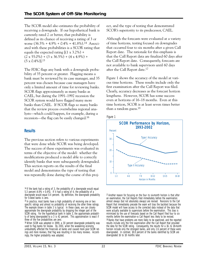The SCOR model also estimates the probability of receiving a downgrade. If our hypothetical bank is currently rated 2 or better, that probability is defined as its chance of receiving a rating of 3 or worse  $(36.5\% + 4.9\% + 0.4\% = 41.8\%).$ <sup>14</sup> Associated with these probabilities is a SCOR rating that equals the expected rating  $[(1 \times 3.2\%) +$  $(2 \times 55.0\%) + (3 \times 36.5\%) + (4 \times 4.9\%) +$  $(5 \times 0.4\%)$ ].<sup>15</sup>

The FDIC flags any bank with a downgrade probability of 35 percent or greater. Flagging means a bank must be reviewed by its case manager, and 35 percent was chosen because case managers have only a limited amount of time for reviewing banks. SCOR flags approximately as many banks as CAEL, but during the 1991–1992 recession the SCOR system would have flagged many more banks than CAEL. If SCOR flags so many banks that the review process overwhelms regional analysts—which could happen, for example, during a recession—the flag can be easily changed.16

#### **Results**

The previous section refers to various experiments that were done while SCOR was being developed. The success of these experiments was evaluated in terms of the objective of the model: whether the modifications produced a model able to correctly identify banks that were subsequently downgraded. This section reports on the results of the final model and demonstrates the type of testing that was repeatedly done during the course of this proj-

15 In practice, most banks have a high probability of receiving one or two specific ratings and almost no probability of receiving the other three ratings. The example shown in table 3 is typical. In these cases, we can closely approximate the downgrade probability by dropping the integer part of the SCOR rating. For the hypothetical bank in table 3, the approximate probability of being downgraded to a 3 is 42 percent. This approximation is exact if three of the five probabilities are zero.

ect, and the type of testing that demonstrated SCOR's superiority to its predecessor, CAEL.

Although the forecasts were evaluated at a variety of time horizons, testing focused on downgrades that occurred four to six months after a given Call Report date. The rationale for this emphasis is that the Call Report data are finalized 60 days after the Call Report date. Consequently, forecasts are not available to bank supervisors until 60 days after the Call Report date.17

Figure 1 shows the accuracy of the model at various time horizons. These results include only the first examination after the Call Report was filed. Clearly, accuracy decreases as the forecast horizon lengthens. However, SCOR has some success even at horizons of 16–18 months. Even at this time horizon, SCOR is at least seven times better than a random guess.18





 $17$  Another reason for focusing on the four- to six-month horizon is that after an examination, the Call Reports filed immediately before the examination almost always (but not absolutely always) are revised. Revisions to the Call Report that immediately precede the exam will bias the backtest because the SCOR model will have access to the corrected data instead of the data that were actually available to supervisors before the examination. This bias is minimized by the use of forecasts based on the Call Report filed four to six months before the examination—a Call Report less likely to be revised. <sup>18</sup> Banks that have problems are more likely to be examined, and the reported results include only the first examination after the Call Report that provided the data for the SCOR rating. Consequently, the results for a 16- to 18-month horizon include only the strongest banks, and only 2.6 percent of these were downgraded. In contrast, 18.8 percent of the banks identified by SCOR are downgraded 16 to 18 months later.

<sup>&</sup>lt;sup>14</sup> If the bank had a rating of 3, the probability of a downgrade would equal 5.3 percent  $(4.9\% + 0.4\%)$ . If it had a rating of 4, the probability of a downgrade would equal 0.4 percent. By definition, the downgrade probability for 5-rated banks is zero.

 used to flag banks for review. By 2001, when the weakening economy 16 When SCOR was adopted in 1999, a 30 percent downgrade probability was undoubtedly affected the financials at banks and caused more poor SCOR ratings and more reviews, that flag was resulting in too many reviews. Accordingly, the higher probability was adopted.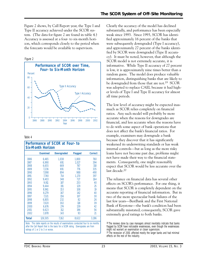Figure 2 shows, by Call Report year, the Type I and Type II accuracy achieved under the SCOR system. (The data for figure 2 are found in table 4.) Accuracy is assessed at a four- to six-month horizon, which corresponds closely to the period when the forecasts would be available to supervisors.



#### Table 4

|       | <b>Examined</b> | <b>Downgraded</b> | <b>Flagged</b> | <b>Correct</b> |
|-------|-----------------|-------------------|----------------|----------------|
| 1986  | 6,465           | 1,038             | 1,800          | 760            |
| 1987  | 6,990           | 691               | 1,027          | 394            |
| 1988  | 6,655           | 669               | 767            | 318            |
| 1989  | 7.236           | 691               | 776            | 335            |
| 1990  | 7,098           | 894               | 988            | 490            |
| 1991  | 7,740           | 714               | 1,170          | 397            |
| 1992  | 9.403           | 348               | 727            | 164            |
| 1993  | 9.911           | 187               | 253            | 40             |
| 1994  | 9.444           | 191               | 129            | 25             |
| 1995  | 8.961           | 153               | 108            | 19             |
| 1996  | 8,279           | 167               | 142            | 40             |
| 1997  | 7,321           | 156               | 107            | 30             |
| 1998  | 6,805           | 232               | 82             | 26             |
| 1999  | 7,020           | 302               | 118            | 39             |
| 2000  | 6,676           | 274               | 139            | 42             |
| 2001  | 6,623           | 312               | 196            | 56             |
| 2002  | 3,878           | 143               | 93             | 21             |
| Total | 126,505         | 7,162             | 8,622          | 3,196          |

**Performance of SCOR at Four- to** 

Clearly the accuracy of the model has declined substantially, and performance has been especially weak since 1993. Since 1993, SCOR has identified approximately 16 percent of the banks that were subsequently downgraded (Type I accuracy), and approximately 27 percent of the banks identified by SCOR were downgraded (Type II accuracy). It must be noted, however, that although the SCOR model is not extremely accurate, it is informative. While Type II accuracy of 27 percent is low, it is approximately nine times better than a random guess. The model does produce valuable information, distinguishing banks that are likely to be downgraded from those that are not.<sup>19</sup> SCOR was adopted to replace CAEL because it had higher levels of Type I and Type II accuracy for almost all time periods.

The low level of accuracy might be expected inasmuch as SCOR relies completely on financial ratios. Any such model will probably be more accurate when the reasons for downgrades are financial, and less accurate when the reasons have to do with some aspect of bank operations that does not affect the bank's financial ratios. For example, examiners may downgrade a bank because they discover that it has significantly weakened its underwriting standards or has weak internal controls—but as long as the more risky loans have not become past due, problems might not have made their way to the financial statements. Consequently, one might reasonably expect that SCOR would be less accurate over the last decade.20

The reliance on financial data has several other effects on SCOR's performance. For one thing, it means that SCOR is completely dependent on the accurate reporting of financial information. But in two of the more spectacular bank failures of the last few years—BestBank and the First National Bank of Keystone—the bank's condition had been substantially misstated; consequently, SCOR gave extremely good ratings to both banks.

<sup>19</sup> The reviews done by case managers almost inevitably indicate that banks flagged by SCOR have noticeable weaknesses, even though the weaknesses might not warrant an examination or closer supervision.

20 The recession of 2001 affected mostly the larger banks and had minimal effects on the rest of the industry.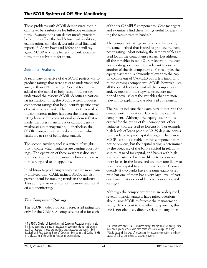These problems with SCOR demonstrate that it can never be a substitute for full-scope examinations. Examinations can detect unsafe practices before they affect the bank's financial condition; examinations can also detect misstated financial reports.21 As we have said before and will say again, SCOR is a complement to bank examinations, not a substitute for them.

# **Additional Features**

A secondary objective of the SCOR project was to produce ratings that were easier to understand and analyze than CAEL ratings. Several features were added to the model to help users of the ratings understand the reasons SCOR identifies a particular institution. First, the SCOR system produces component ratings that help identify specific areas of weakness in a bank. The most controversial of the component ratings has been the management rating because the conventional wisdom is that a model that uses financial ratios cannot identify weaknesses in management. Nonetheless, the SCOR management rating does indicate which banks are at risk of being downgraded.

The second auxiliary tool is a system of weights that indicate which variables are causing poor ratings. The operation of these weights is discussed in this section, while the more technical explanation is relegated to an appendix.

In addition to producing ratings that are more easily analyzed than CAEL ratings, SCOR has also proved useful for tracking trends in the industry. This ability is an extension of the more traditional off-site monitoring.

# *The Component Ratings*

The SCOR model produces a forecasted rating not only for the CAMELS composite but also for each

of the six CAMELS components. Case managers and examiners find these ratings useful for identifying the weaknesses in banks.22

The component ratings are produced by exactly the same method that is used to produce the composite rating. Most notably, the same variables are used for all the component ratings. But although all the variables in table 2 are relevant to the composite rating, some are more relevant to one or another of the six components. For example, the equity-asset ratio is obviously relevant to the capital component of CAMELS but is less important to the earnings component. SCOR, however, uses all the variables to forecast all the components and, by means of the stepwise procedure mentioned above, selects the variables that are more relevant to explaining the observed component.

The results indicate that examiners do not rate the components in isolation. Consider the capital component. Although the equity-asset ratio is critical for the rating of this component, other variables, too, are used to forecast it. For example, high levels of loans past due 30–89 days are consistently related to poor capital ratings. The reason SCOR uses this variable for this component may not be obvious, but the capital rating is determined by the adequacy of the bank's capital in relationship to its need for capital, and banks with high levels of past-due loans are likely to experience more losses in the future and are therefore likely to need more capital to absorb those losses. Consequently, if two banks have the same equity-asset ratio but one of them has a very high level of pastdue loans, that one would receive a worse capital rating.23

Although the component ratings are widely used, several financial analysts have raised questions about using SCOR to forecast the management rating. In contrast to the other components, this one is not obviously directly related to any finan-

<sup>21</sup> The FDIC's Division of Supervision and Consumer Protection rightly insists that bank examiners are not a substitute for adequate internal and external auditing. However, it was examinations that uncovered the fraud at both BestBank and First National Bank of Keystone. See Berger and Davies (1998) for a discussion of the auditing function of examinations.

<sup>22</sup> As mentioned above, CAEL produced ratings for capital, asset quality, earnings, and liquidity, which were then combined into a composite rating. <sup>23</sup> CAEL captured this type of relationship by treating some ratios as primary causes of ratings and others as secondary causes.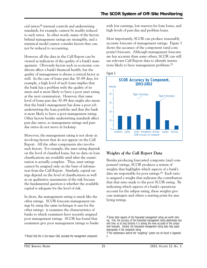cial ratios;24 internal controls and underwriting standards, for example, cannot be readily reduced to such ratios. In other words, many of the factors behind management ratings are intangible, and a statistical model cannot consider factors that cannot be reduced to accounting.

However, all the data in the Call Report can be viewed as indicators of the quality of a bank's management. Obviously factors such as economic conditions affect a bank's financial health, but the quality of management is always a critical factor as well. In the case of loans past due 30–89 days, for example, a high level of such loans implies that the bank has a problem with the quality of its assets and is more likely to have a poor asset rating at the next examination. However, that same level of loans past due 30–89 days might also mean that the bank's management has done a poor job underwriting the loan portfolio and that the bank is more likely to have a poor management rating. Other factors besides underwriting standards affect past-due ratios, so management ratings and pastdue ratios do not move in lockstep.

Moreover, the management rating is not alone in involving factors that do not appear on the Call Report. All the other components also involve such factors. For example, the asset rating depends on the level of classified loans, but no data on loan classifications are available until after the examination is actually complete. Thus, asset ratings cannot be assigned only on the basis of information from the Call Report. Similarly, capital ratings depend on the level of classifications as well as on qualitative assessments of the risk because the fundamental question is whether the available capital is adequate for the level of risk.

In short, the management rating is much like the other ratings. SCOR forecasts management ratings by using the same technique it uses for the other ratings: it examines the characteristics of banks to which examiners have recently assigned poor management ratings. SCOR has found that examiners give poor management ratings to banks with low earnings, low reserves for loan losses, and high levels of past-due and problem loans.

Most importantly, SCOR can produce reasonably accurate forecasts of management ratings. Figure 3 shows the accuracy of the component (and composite) forecasts. Although management forecasts are less accurate than some others, SCOR can still use relevant Call Report data to identify institutions likely to have management problems.25





#### *Weights of the Call Report Data*

Besides producing forecasted composite (and component) ratings, SCOR produces a system of weights that highlights which aspects of a bank's data are responsible for poor ratings.26 Each ratio is assigned a weight that indicates the contribution that that ratio made to the poor SCOR rating. By indicating which aspects of a bank's operations account for the subpar rating, these weights give case managers and others a starting point for analyzing ratings.

<sup>24</sup> Recall that this is the reason CAEL excluded the management component.

<sup>25</sup> Some other aspects of the forecasted management rating are worth noticing. First, the accuracy of the forecasted management rating deteriorates less over time, so at long horizons it is among the more accurate of the component forecasts. Second, the forecasted management rating does help signal downgrades in the composite rating.

<sup>26</sup> The mathematics behind the "weighting" system can be found in Appendix 2.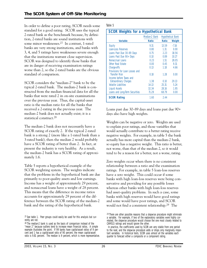In order to define a poor rating, SCOR needs some Table 5 standard for a good rating. SCOR uses the typical 2-rated bank as the benchmark because, by definition, 2-rated banks are sound institutions with some minor weaknesses.27 In contrast, 1-rated banks are very strong institutions, and banks with 3, 4, and 5 ratings have weaknesses severe enough that the institutions warrant close supervision. SCOR was designed to identify those banks that are in danger of receiving examination ratings worse than 2, so the 2-rated banks are the obvious standard of comparison.

SCOR considers the "median-2" bank to be the typical 2-rated bank. The median-2 bank is constructed from the median financial data for all the banks that were rated 2 in on-site examinations over the previous year. Thus, the capital-asset ratio is the median ratio for all the banks that received a 2-rating in the previous year. The median-2 bank does not actually exist; it is a statistical construct.28

The median-2 bank does not necessarily have a SCOR rating of exactly 2. If the typical 2-rated bank is a strong 2 (more like a 1-rated bank than a 3-rated bank), then the median 2 would probably have a SCOR rating of better than 2. In fact, at present the industry is very healthy. As a result, the median-2 bank has a SCOR rating of approximately 1.6.

Table 5 reports a hypothetical example of the SCOR weighting system. The weights indicate that the problems in the hypothetical bank are due primarily to poor-quality assets and low earnings. Income has a weight of approximately 29 percent, and nonaccrual loans have a weight of 28 percent. This means that the difference in income ratios accounts for approximately 29 percent of the difference between the SCOR rating of the median-2 bank and the rating of the hypothetical bank.

 $27$  See table 1. Peer groups could easily be used for this analysis but currently are not.

| <b>SCOR Weights for a Hypothetical Bank</b>             |               |                          |         |
|---------------------------------------------------------|---------------|--------------------------|---------|
|                                                         | Median-2 Bank | <b>Hypothetical Bank</b> |         |
| <b>Variable</b>                                         | <b>Ratio</b>  | <b>Ratio</b>             | Weight  |
| Equity                                                  | 9.31          | 13.59                    | $-7.16$ |
| Loan-Loss Reserves                                      | 0.80          | $1.31 -$                 | 0.00    |
| Loans Past Due 30-89 Days                               | 0.75          | $2.23 -$                 | 18.56   |
| Loans Past Due 90+ Days                                 | 0.10          | 0.89                     | 10.27   |
| Nonaccrual Loans                                        | 0.23          | $1.51 -$                 | 28.05   |
| Other Real Estate                                       | 0.00          | 0.45                     | 9.31    |
| Charge-offs                                             | 0.13          | 1.18                     | 4.66    |
| Provisions for Loan Losses and<br><b>Transfer Risk</b>  | 0.18          | 1.28                     | 0.00    |
| Income before Taxes and<br><b>Extraordinary Charges</b> | 1.38          | 0.10                     | 29.13   |
| Volatile Liabilities                                    | 14.13         | 25.31                    | 5.24    |
| <b>Liquid Assets</b>                                    | 32.34         | 28.16                    | 1.95    |
| Loans and Long-Term Securities                          | 71.29         | 68.79                    | 0.00    |
| <b>SCOR Rating</b>                                      | 1.60          | 2.44                     |         |

Loans past due 30–89 days and loans past due 90+ days also have high weights.

Weights can be negative or zero. Weights are used to explain poor ratings, and those variables that would actually contribute to a better rating receive negative weights. For example, in table 5 the bank actually has more capital than the median-2 bank, so equity has a negative weight. This ratio is better, not worse, than that of the median 2, so it would tend to be a reason for a better, not a worse, rating.

Zero weights occur when there is no consistent relationship between a ratio and the examination ratings. For example, in table 5 loan-loss reserves have a zero weight. This could occur if some banks with high loan-loss reserves were being conservative and providing for any possible losses whereas other banks with high loan-loss reserves had asset-quality problems. In such a case, some banks with high reserves would have good ratings and some would have poor ratings, and SCOR would not find a consistent relationship.29 The

<sup>&</sup>lt;sup>28</sup> The median-2 bank is used as the basis of comparison instead of the "mean 2" because outliers tend to increase mean financial ratios. A simple example illustrates the point. If 99 banks have capital-asset ratios of 9 percent and 1 has a capital-asset ratio of 90 percent, the mean capital-asset ratio is 9.81 percent. The median is 9 percent, which is more representative.

<sup>&</sup>lt;sup>29</sup> There are other possible reasons that a stepwise procedure might eliminate a variable. For example, if two of the explanatory variables were highly correlated, the stepwise procedure would choose the one most closely related to CAMELS ratings and would ignore the other.

In practice, the coefficients used by SCOR are very stable from one period to the next, and the stepwise procedure adds or drops only marginally important variables. In historical tests, SCOR uses almost all the variables each quarter to forecast either a composite or a component rating.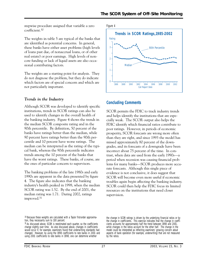stepwise procedure assigned that variable a zero coefficient.30

The weights in table 5 are typical of the banks that are identified as potential concerns. In general, these banks have either asset problems (high levels of loans past due, of nonaccrual loans, or of other real estate) or poor earnings. High levels of noncore funding or lack of liquid assets are also occasional contributing factors.

The weights are a starting point for analysis. They do not diagnose the problem, but they do indicate which factors are of special concern and which are not particularly important.

#### *Trends in the Industry*

Although SCOR was developed to identify specific institutions, trends in SCOR ratings can also be used to identify changes in the overall health of the banking industry. Figure 4 shows the trends in the median SCOR composite rating and in the 90th percentile. By definition, 50 percent of the banks have ratings better than the median, while 90 percent have ratings better than the 90th percentile and 10 percent have worse ratings. The median can be interpreted as the rating of the typical bank, whereas the 90th percentile indicates trends among the 10 percent of the banks that have the worst ratings. These banks, of course, are the ones of particular concern to supervisors.

The banking problems of the late 1980s and early 1990s are apparent in the data presented by figure 4. The figure also indicates that the banking industry's health peaked in 1998, when the median SCOR rating was 1.52. By the end of 2001, the median rating was 1.71. During 2002, ratings improved.31





#### **Concluding Comments**

SCOR permits the FDIC to track industry trends and helps identify the institutions that are especially weak. The SCOR output also helps the FDIC identify which financial ratios contribute to poor ratings. However, in periods of economic prosperity, SCOR forecasts are wrong more often than they are right, and since 1993 the model has missed approximately 80 percent of the downgrades, and its forecasts of a downgrade have been incorrect about 75 percent of the time. In contrast, when data are used from the early 1990s—a period when recession was causing financial problems for many banks—SCOR produces more accurate forecasts. Although this single piece of evidence is not conclusive, it does suggest that SCOR will become even more useful if economic troubles again begin affecting the banking industry. SCOR could then help the FDIC focus its limited resources on the institutions that need closer supervision.

<sup>30</sup> Because these weights are calculated with a Taylor first-order approximation, they necessarily sum to 100 percent.

<sup>31</sup> As discussed above, SCOR is reestimated each quarter, so the coefficients change slightly over time. As also discussed above, changes in coefficients would occur if, for example, examiners found that underwriting standards had changed. However, by using the 1998 coefficients to rate banks in 2001 and using 2001 coefficients to rate banks in 1998, one can determine whether

the change in SCOR ratings is driven by the underlying financial ratios or by the change in coefficients. This exercise indicates that the change in coefficients accounts for approximately half the trend between 1998 and 2001, while changes in the ratios account for the other half. The change in the model could be interpreted as reflecting examiners' growing concern about aspects of bank operation (for example, underwriting) that are not measured by the ratios.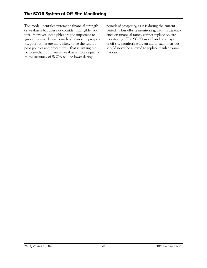The model identifies systematic financial strength or weakness but does not consider intangible factors. However, intangibles are too important to ignore because during periods of economic prosperity, poor ratings are more likely to be the result of poor policies and procedures—that is, intangible factors—than of financial weakness. Consequently, the accuracy of SCOR will be lower during

periods of prosperity, as it is during the current period. Thus off-site monitoring, with its dependence on financial ratios, cannot replace on-site monitoring. The SCOR model and other systems of off-site monitoring are an aid to examiners but should never be allowed to replace regular examinations.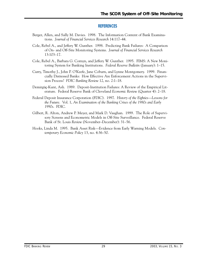#### **REFERENCES**

- Berger, Allen, and Sally M. Davies. 1998. The Information Content of Bank Examinations. *Journal of Financial Services Research* 14:117–44.
- Cole, Rebel A., and Jeffery W. Gunther. 1998. Predicting Bank Failures: A Comparison of On- and Off-Site Monitoring Systems. *Journal of Financial Services Research*  13:103–17.
- Cole, Rebel A., Barbara G. Cornyn, and Jeffery W. Gunther. 1995. FIMS: A New Monitoring System for Banking Institutions. *Federal Reserve Bulletin* (January): 1–15.
- Curry, Timothy J., John P. O'Keefe, Jane Coburn, and Lynne Montgomery. 1999. Financially Distressed Banks: How Effective Are Enforcement Actions in the Supervision Process? *FDIC Banking Review* 12, no. 2:1–18.
- Demirgüç-Kunt, Asli. 1989. Deposit-Institution Failures: A Review of the Empirical Literature. Federal Reserve Bank of Cleveland *Economic Review* (Quarter 4): 2–18.
- Federal Deposit Insurance Corporation (FDIC). 1997. *History of the Eighties—Lessons for the Future*. Vol. 1, *An Examination of the Banking Crises of the 1980s and Early 1990s*. FDIC.
- Gilbert, R. Alton, Andrew P. Meyer, and Mark D. Vaughan. 1999. The Role of Supervisory Screens and Econometric Models in Off-Site Surveillance. Federal Reserve Bank of St. Louis *Review* (November–December): 31–56.
- Hooks, Linda M. 1995. Bank Asset Risk—Evidence from Early Warning Models. *Contemporary Economic Policy* 13, no. 4:36–50.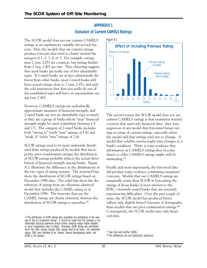# **APPENDIX 1 Exclusion of Current CAMELS Ratings**

The SCOR model does not use current CAMELS ratings as an explanatory variable, for several reasons. First, the models that use current ratings produce forecasts that tend to cluster around the integers of 1, 2, 3, 4, or 5. For example, ratings near 2 (say, 2.05) are common, but ratings further from 2 (say, 2.40) are rare. This clustering suggests that most banks are really one of five identifiable types. If 2-rated banks are in fact substantially different from other banks, most 2-rated banks will have actual ratings close to 2 (say, 2.05), and only the odd institution that does not really fit one of the established types will have an intermediate rating (say, 2.40).

However, CAMELS ratings are undoubtedly approximate measures of financial strength, and 2-rated banks are not an identifiable type as much as they are a group of banks whose "true" financial strength might be rated somewhere between 1.5 and 2.5. The category of 2-rated banks includes both "strong 2s" (with "true" ratings of 1.6) and "weak 2s" (with "true" ratings of 2.4).

SCOR ratings tend to be more uniformly distributed than ratings produced by models that incorporate prior examination ratings; the distribution of SCOR ratings probably reflects the actual distribution of financial strength among banks. Figure A.1 illustrates the difference in the distributions of the two types of rating systems. The screened bars show the distribution of SCOR ratings based on December 1996 data. The solid bars show the distribution of ratings from an otherwise identical model that includes the CAMEL rating as of December 1996. The forecasts that use the CAMEL ratings are clearly clustered, whereas the distribution of SCOR ratings is smoother.<sup>32</sup>





The second reason the SCOR model does not use current CAMELS ratings is that examiners wanted a system that used only financial data: they were suspicious of any model that forecasted future ratings in terms of current ratings, especially when the model said that ratings tend not to change. A model that exhibits inertia might miss changes in a bank's condition. There is some evidence that information in CAMELS ratings does become dated, so older CAMELS ratings might well be misleading.33

Finally and most importantly, the historical data did produce some evidence confirming examiners' concerns. Models that use CAMELS ratings are marginally worse than SCOR at forecasting the ratings of those banks of most interest to the FDIC—formerly sound banks that are currently experiencing difficulties. Over the past couple of years, the SCOR model has produced better (albeit only slightly better) forecasts of downgrades than models that use prior examination ratings.34 Consequently, the SCOR model uses only financial data.

<sup>32</sup> The distribution of SCOR ratings also resembles the distribution of the average of the six component ratings. It should be noted that this average is not meaningful because examiners would almost certainly assign higher weights to some components than to others. Moreover, SCOR ratings are distributed much like CAEL ratings, though CAEL ratings tend to be lower. (As explained above, CAEL was intended to be "biased" toward downgrading banks, and SCOR is not biased.)

<sup>33</sup> See Cole and Gunther (1998).

<sup>34</sup> The differences are not statistically significant.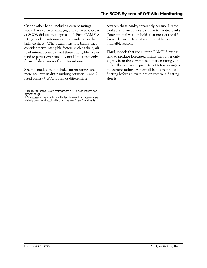tend to persist over time. A model that uses only On the other hand, including current ratings would have some advantages, and some prototypes of SCOR did use this approach.35 First, CAMELS ratings include information not available on the balance sheet. When examiners rate banks, they consider many intangible factors, such as the quality of internal controls, and these intangible factors financial data ignores this extra information.

Second, models that include current ratings are more accurate in distinguishing between 1- and 2rated banks.36 SCOR cannot differentiate

between these banks, apparently because 1-rated banks are financially very similar to 2-rated banks. Conventional wisdom holds that most of the difference between 1-rated and 2-rated banks lies in intangible factors.

Third, models that use current CAMELS ratings tend to produce forecasted ratings that differ only slightly from the current examination ratings, and in fact the best single predictor of future ratings is the current rating. Almost all banks that have a 2 rating before an examination receive a 2 rating after it.

<sup>35</sup> The Federal Reserve Board's contemporaneous SEER model includes management ratings.

<sup>&</sup>lt;sup>36</sup> As discussed in the main body of the text, however, bank supervisors are relatively unconcerned about distinguishing between 1- and 2-rated banks.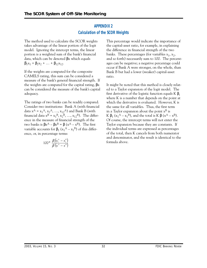# **APPENDIX 2 Calculation of the SCOR Weights**

The method used to calculate the SCOR weights takes advantage of the linear portion of the logit model. Ignoring the intercept terms, the linear portion is a weighted sum of the bank's financial data, which can be denoted βx which equals  $\beta_1x_1 + \beta_2x_2 + \ldots + \beta_{12}x_{12}.$ 

If the weights are computed for the composite CAMELS rating, this sum can be considered a measure of the bank's general financial strength. If the weights are computed for the capital rating, βx can be considered the measure of the bank's capital adequacy.

The ratings of two banks can be readily compared. Consider two institutions: Bank A (with financial data  $x^A = x_1^A$ ,  $x_2^A$ , ...,  $x_{12}^A$ ) and Bank B (with financial data  $x^B = x_1^B$ ,  $x_2^B$ , ...,  $x_{12}^B$ ). The difference in the measure of financial strength of the two banks is  $\beta x^A - \beta x^B = \beta (x^A - x^B)$ . The first variable accounts for  $\beta_1(x_1^A - x_1^B)$  of this difference, or, in percentage terms:

$$
100 \star \frac{\beta_1 (x_1^A - x_1^B)}{\beta (x^A - x^B)}
$$

This percentage would indicate the importance of the capital-asset ratio, for example, in explaining the difference in financial strength of the two banks. These percentages (for variables  $x_1, x_2,$ and so forth) necessarily sum to 100. The percentages can be negative; a negative percentage could occur if Bank A were stronger, on the whole, than Bank B but had a lower (weaker) capital-asset ratio.

It might be noted that this method is closely related to a Taylor expansion of the logit model. The first derivative of the logistic function equals  $K \beta$ . where K is a number that depends on the point at which the derivative is evaluated. However, K is the same for all variables. Thus, the first term in a Taylor expansion about the point  $x^B$  is K  $\beta_1$  (x<sub>1</sub><sup>A</sup> – x<sub>1</sub><sup>B</sup>), and the total is K  $\beta$  (x<sup>A</sup> – x<sup>B</sup>). Of course, the intercept terms will not enter the Taylor expansion because they are constants. If the individual terms are expressed as percentages of the total, then K cancels from both numerator and denominator, and the result is identical to the formula above.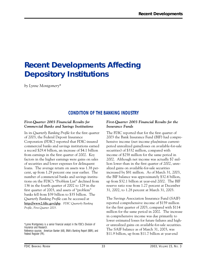# **Recent Developments Affecting Depository Institutions**

*by Lynne Montgomery\** 

# **CONDITION OF THE BANKING INDUSTRY**

#### *First-Quarter 2003 Financial Results for Commercial Banks and Savings Institutions*

In its *Quarterly Banking Profile* for the first quarter of 2003, the Federal Deposit Insurance Corporation (FDIC) reported that FDIC-insured commercial banks and savings institutions earned a record \$29.4 billion, an increase of \$4.1 billion from earnings in the first quarter of 2002. Key factors in the higher earnings were gains on sales of securities and lower expenses for delinquent loans. The average return on assets was 1.38 percent, up from 1.29 percent one year earlier. The number of commercial banks and savings institutions on the FDIC's "Problem List" declined from 136 in the fourth quarter of 2002 to 129 in the first quarter of 2003, and assets of "problem" banks fell from \$39 billion to \$35 billion. The *Quarterly Banking Profile* can be accessed at **http://www2.fdic.gov/qbp**. *FDIC Quarterly Banking Profile, First Quarter 2003.* 

\*Lynne Montgomery is a senior financial analyst in the FDIC's Division of Insurance and Research.

Reference sources: *American Banker* (AB), *BNA's Banking Report* (BBR), and *Federal Register* (FR).

#### *First-Quarter 2003 Financial Results for the Insurance Funds*

The FDIC reported that for the first quarter of 2003 the Bank Insurance Fund (BIF) had comprehensive income (net income plus/minus currentperiod unrealized gains/losses on available-for-sale securities) of \$332 million, compared with income of \$258 million for the same period in 2002. Although net income was actually \$7 million lower than in the first quarter of 2002, unrealized gains on available-for-sale securities increased by \$81 million. As of March 31, 2003, the BIF balance was approximately \$32.4 billion, up from \$32.1 billion at year-end 2002. The BIF reserve ratio rose from 1.27 percent at December 31, 2002, to 1.28 percent at March 31, 2003.

The Savings Association Insurance Fund (SAIF) reported comprehensive income of \$159 million for the first quarter of 2003, compared with \$114 million for the same period in 2002. The increase in comprehensive income was due primarily to lower estimated losses for future failures and higher unrealized gains on available-for-sale securities. The SAIF balance as of March 31, 2003, was \$11.9 billion, up from \$11.7 billion at year-end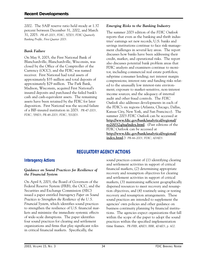2002. The SAIF reserve ratio held steady at 1.37 percent between December 31, 2002, and March 31, 2003. *PR-45-2003, FDIC, 5/7/03; FDIC Quarterly Banking Profile, First Quarter 2003.* 

#### *Bank Failure*

On May 9, 2003, the First National Bank of Blanchardville, Blanchardville, Wisconsin, was closed by the Office of the Comptroller of the Currency (OCC), and the FDIC was named receiver. First National had total assets of approximately \$35 million and total deposits of approximately \$29 million. The Park Bank, Madison, Wisconsin, acquired First National's insured deposits and purchased the failed bank's cash and cash-equivalent assets. The remaining assets have been retained by the FDIC for later disposition. First National was the second failure of a BIF-insured institution in 2003. *PR-47-2003, FDIC, 5/9/03; PR-48-2003, FDIC, 5/10/03.* 

#### *Emerging Risks to the Banking Industry*

The summer 2003 edition of the *FDIC Outlook*  reports that even as the banking and thrift industries' earnings set new records, U.S. banks and savings institutions continue to face risk-management challenges in several key areas. The report discusses how banks have been addressing their credit, market, and operational risks. The report also discusses potential bank problem areas that FDIC analysts and examiners continue to monitor, including commercial real estate portfolios; subprime consumer lending; net interest margin compressions; interest rate and funding risks related to the unusually low interest-rate environment; exposure to market-sensitive, non-interest income sources; and the adequacy of internal audit and other fraud controls. The *FDIC Outlook* also addresses developments in each of the FDIC's six regions (Atlanta, Chicago, Dallas, Kansas City, New York, and San Francisco). The summer 2003 *FDIC Outlook* can be accessed at **http://www.fdic.gov/bank/analytical/regional/ ro20032q/na/index.html**. (Past editions of the FDIC Outlook can be accessed at **http://www.fdic.gov/bank/analytical/regional/ index.html**.) *PR-66-2003, FDIC, 6/18/03.* 

# **REGULATORY AGENCY ACTIONS**

#### **Interagency Actions**

#### *Guidance on Sound Practices for Resilience of the Financial System*

On April 8, 2003, the Board of Governors of the Federal Reserve System (FRB), the OCC, and the Securities and Exchange Commission (SEC) issued a paper entitled *Interagency Paper on Sound Practices to Strengthen the Resilience of the U.S. Financial System*, which identifies sound practices to strengthen the resilience of U.S. financial markets and minimize the immediate systemic effects of wide-scale disruptions. The paper identifies four sound practices for clearing and settlement organizations and firms that play significant roles in critical financial markets. Specifically, the

sound practices consist of (1) identifying clearing and settlement activities in support of critical financial markets, (2) determining appropriate recovery and resumption objectives for clearing and settlement activities in support of critical markets, (3) maintaining sufficient geographically dispersed resources to meet recovery and resumption objectives, and (4) routinely using or testing recovery and resumption arrangements. These sound practices are intended to supplement the agencies' own policies and other guidance on business continuity planning by financial institutions. The agencies expect organizations that fall within the scope of the paper to adopt the sound practices within the specified implementation time frames. *PR-FRB, 4/8/03; BBR, 4/14/03, p. 602.*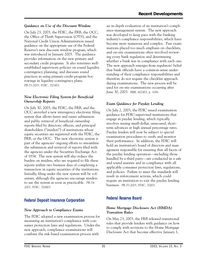#### *Guidance on Use of the Discount Window*

On July 23, 2003, the FDIC, the FRB, the OCC, the Office of Thrift Supervision (OTS), and the National Credit Union Administration issued guidance on the appropriate use of the Federal Reserve's new discount window program, which was introduced in January 2003. The guidance provides information on the new primary and secondary credit programs. It also reiterates wellestablished supervisory policies on sound liquidity contingency planning, and discusses sound practices in using primary-credit-program borrowings in liquidity contingency plans. *PR-73-2003, FDIC, 7/23/03.* 

#### *New Electronic Filing System for Beneficial Ownership Reports*

On July 30, 2003, the FDIC, the FRB, and the OCC unveiled a new interagency electronic filing system that allows faster and easier submission and public retrieval of beneficial ownership reports filed by directors, officers, and principal shareholders ("insiders") of institutions whose equity securities are registered with the FDIC, the FRB, or the OCC. The new electronic system is part of the agencies' ongoing efforts to streamline the submission and retrieval of reports filed with the agencies under the Securities Exchange Act of 1934. The new system will also reduce the burden on insiders, who are required to file these reports within two business days of completing a transaction in equity securities of the institutions. Initially, filing under the new system will be voluntary, although the agencies encourage insiders to use the system as soon as practicable. *PR-74 2003, FDIC, 7/28/03.* 

#### **Federal Deposit Insurance Corporation**

#### *New Approach to Compliance Exams*

The FDIC adopted a new examination process for measuring an institution's compliance with consumer protection laws and regulations. Under the new approach, compliance examinations will combine the risk-based examination process with

an in-depth evaluation of an institution's compliance-management system. The new approach was developed to keep pace with the banking industry's compliance responsibilities, which have become more numerous and complex. Past examinations placed too much emphasis on checklists, and on-site examinations often involved reviewing every bank regulation and determining whether a bank was in compliance with each one. The new approach emerges from regulators' belief that bank officials have a common-sense understanding of their compliance responsibilities and therefore do not require the checklist approach during examinations. The new process will be used for on-site examinations occurring after June 30, 2003. *BBR, 6/23/03, p. 1006.* 

#### *Exam Guidance for Payday Lending*

On July 2, 2003, the FDIC issued examination guidance for FDIC-supervised institutions that engage in payday lending, which typically involves issuing small-dollar, unsecured, shortterm advances at high annual percentage rates. Payday lenders will now be subject to special examination procedures to verify and monitor their performance. In addition, the FDIC will hold an institution's board of directors and management responsible for ensuring that all facets of the payday lending operation—including those handled by a third party—are conducted in a safe and sound manner and in compliance with all applicable consumer protection laws, regulations, and policies. Failure to meet the standards will result in enforcement actions, which could require an institution to exit the payday lending business. *PR-70-2003, FDIC, 7/2/03.* 

# **Federal Reserve Board**

#### *Home Mortgage Disclosure Act (HMDA) Transition Rules*

On May 23, 2003, the FRB released transitional rules that provide lenders with guidance on how to comply with revisions to the Home Mortgage Disclosure Act that become effective January 1,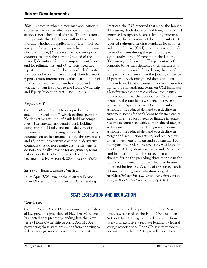2004, in cases in which a mortgage application is submitted before the effective date but final action is not taken until after it. The transitional rules provide that (1) lenders will not have to indicate whether an application or loan involved a request for preapproval or was related to a manufactured home; (2) lenders may, at their option, continue to apply the current (instead of the revised) definitions for home improvement loans and for refinancings; and (3) lenders need not report the rate spread for loans in which the rate lock occurs before January 1, 2004. Lenders must report certain information available at the time of final action, such as the purchaser type and whether a loan is subject to the Home Ownership and Equity Protection Act. *PR-FRB, 5/23/03.* 

#### *Regulation Y*

On June 30, 2003, the FRB adopted a final rule amending Regulation Y, which outlines permissible derivative activities of bank holding companies. The amendment permits bank holding companies to (1) take and make delivery of title to commodities underlying commodity derivative contracts on an instantaneous, pass-through basis; and (2) enter into certain commodity derivative contracts that do not require cash settlement or do not specifically provide for assignment, termination, or offset before delivery. The final rule became effective August 4, 2003. *PR-FRB, 6/30/03.* 

#### *Survey on Bank Lending Practices*

In its April 2003 issue of the quarterly Senior Loan Officer Opinion Survey on Bank Lending

 holds and businesses. A copy of the survey can be Practices, the FRB reported that since the January 2003 survey, both domestic and foreign banks had continued to tighten business lending practices. However, the percentage of domestic banks that reported tightened lending standards for commercial and industrial (C&I) loans to large and middle-market firms during the period dropped significantly—from 20 percent in the January 2003 survey to 9 percent. The percentage of domestic banks that tightened their standards for business loans to small firms during the period dropped from 20 percent in the January survey to 13 percent. Both foreign and domestic institutions indicated that the most important reason for tightening standards and terms on C&I loans was a less-favorable economic outlook: the institutions reported that the demand for C&I and commercial real estate loans weakened between the January and April surveys. Domestic banks attributed the reduced demand to a decline in customers' needs for bank loans to finance capital expenditures, reduced needs to finance inventories and account receivables, and reduced merger and acquisition business. Foreign institutions attributed the reduced demand to a decline in merger and acquisition activity and reduced customer investment in plant and equipment. For the report, the Federal Reserve surveyed loan officers from 56 large domestic banks and 18 foreign banking institutions. The survey focused on changes during the preceding three months in the supply of and demand for bank loans to houseobtained at **http://www.federalreserve.gov/ boarddocs/SnLoanSurvey/**. *Senior Loan Officer Opinion Survey on Bank Lending Practices, FRB, April 2003.* 

# **STATE LEGISLATION AND REGULATION**

#### *New Jersey*

On July 23, 2003, the OTS announced that feder- subsidiaries. Federal preemption of the New al law preempts provisions of New Jersey's recent- Jersey law is based on the Home Owners' Loan ly enacted anti-predatory-lending law, the New Act and the OTS regulations that comprehen-Jersey Home Ownership Security Act of 2002, sively and exclusively regulate lending by federal preventing these state provisions from applying to savings associations. The OTS says that federal federal savings associations and their operating law authorizes the OTS to provide federal savings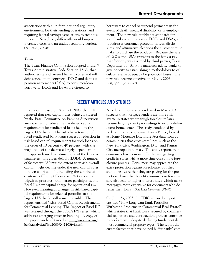associations with a uniform national regulatory environment for their lending operations, and requiring federal savings associations to treat customers in New Jersey differently would impose increased costs and an undue regulatory burden. *OTS 03-22, 7/23/03.* 

#### *Texas*

The Texas Finance Commission adopted a rule, 7 Texas Administrative Code Section 12.33, that authorizes state-chartered banks to offer and sell debt cancellation contracts (DCC) and debt suspension agreements (DSA) to consumer-loan borrowers. DCCs and DSAs are offered to

borrowers to cancel or suspend payments in the event of death, medical disability, or unemployment. The new rule establishes standards for state banks when they issue DCCs and DSAs, and it addresses consumer protections, fees, disclosures, and affirmative elections the customer must make to purchase the products. Because the sale of DCCs and DSAs transfers to the bank a risk that formerly was assumed by third parties, Texas Department of Banking managers advise banks to give priority to establishing a methodology to calculate reserve adequacy for potential losses. The new rule became effective on May 1, 2003. *BBR, 5/5/03, pp. 723–24.* 

# **RECENT ARTICLES AND STUDIES**

 parameters: loss given default (LGD). A number addresses emerging issues in banking. A copy of In a paper released on April 21, 2003, the FDIC reported that new capital rules being considered by the Basel Committee on Banking Supervision are expected to reduce the risk-based capital requirements for syndicated loans held by the largest U.S. banks. The risk characteristics of rated syndicated bank loans suggest a reduction in risk-based capital requirements for such loans on the order of 10 percent to 40 percent, with the magnitude of the decrease largely dependent on the approach used to estimate one of the key risk of factors would limit the extent to which overall capital might decline under the new capital rules (known as "Basel II"), including the continued existence of Prompt Corrective Action capital tripwires, pressures from market participants, and Basel II's new capital charge for operational risk. However, meaningful changes in risk-based capital requirements for selected portfolios at the largest U.S. banks still remain possible. The report, entitled "Risk-Based Capital Requirements for Commercial Lending: The Impact of Basel II," was released through the FDIC's FYI series, which the paper can be obtained at **http://www.fdic.gov/ bank/analytical/fyi/2003/042103fyi.html**.

A Federal Reserve study released in May 2003 suggests that mortgage lenders are more risk averse in states where tough foreclosure laws require lengthy court proceedings to evict a delinquent homeowner. The study, conducted by Federal Reserve economist Karen Pence, looked at Home Mortgage Disclosure Act data from 55 communities that cross state lines, such as the New York City, Washington, D.C., and Kansas City metropolitan areas. The study reports that consumers have a more difficult time getting credit in states with a more time-consuming foreclosure process. Consumers may appreciate the extra protection against foreclosure, but they should be aware that they are paying for the protection. Laws that benefit consumers in foreclosure also lead to higher interest rates, which make mortgages more expensive for consumers who do repay their loans. *Dow Jones Newswires, 5/14/03.* 

On June 23, 2003, the FDIC released a report entitled "How Long Can Bank Portfolios Withstand Problems in Commercial Real Estate?" which states that bank loans secured by commercial real estate and construction projects continue to perform well, despite declining fundamentals in most commercial property types. The report discusses factors that have helped buffer banks' com